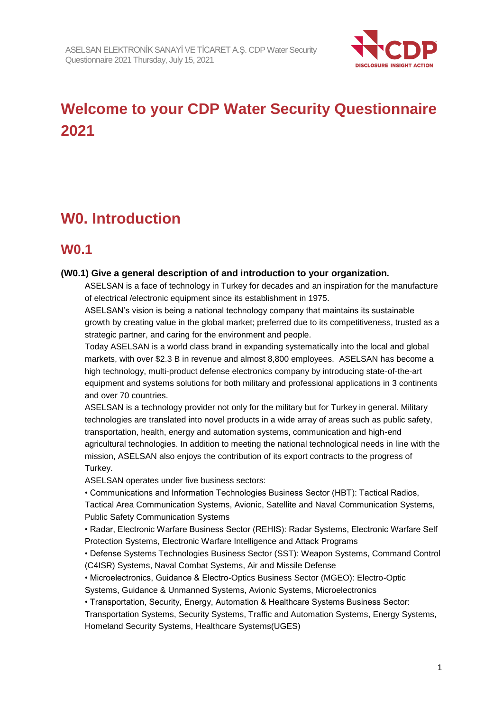

# **Welcome to your CDP Water Security Questionnaire 2021**

# **W0. Introduction**

### **W0.1**

#### **(W0.1) Give a general description of and introduction to your organization.**

ASELSAN is a face of technology in Turkey for decades and an inspiration for the manufacture of electrical /electronic equipment since its establishment in 1975.

ASELSAN's vision is being a national technology company that maintains its sustainable growth by creating value in the global market; preferred due to its competitiveness, trusted as a strategic partner, and caring for the environment and people.

Today ASELSAN is a world class brand in expanding systematically into the local and global markets, with over \$2.3 B in revenue and almost 8,800 employees. ASELSAN has become a high technology, multi-product defense electronics company by introducing state-of-the-art equipment and systems solutions for both military and professional applications in 3 continents and over 70 countries.

ASELSAN is a technology provider not only for the military but for Turkey in general. Military technologies are translated into novel products in a wide array of areas such as public safety, transportation, health, energy and automation systems, communication and high-end agricultural technologies. In addition to meeting the national technological needs in line with the mission, ASELSAN also enjoys the contribution of its export contracts to the progress of Turkey.

ASELSAN operates under five business sectors:

• Communications and Information Technologies Business Sector (HBT): Tactical Radios,

Tactical Area Communication Systems, Avionic, Satellite and Naval Communication Systems, Public Safety Communication Systems

• Radar, Electronic Warfare Business Sector (REHIS): Radar Systems, Electronic Warfare Self Protection Systems, Electronic Warfare Intelligence and Attack Programs

• Defense Systems Technologies Business Sector (SST): Weapon Systems, Command Control (C4ISR) Systems, Naval Combat Systems, Air and Missile Defense

• Microelectronics, Guidance & Electro-Optics Business Sector (MGEO): Electro-Optic Systems, Guidance & Unmanned Systems, Avionic Systems, Microelectronics

• Transportation, Security, Energy, Automation & Healthcare Systems Business Sector:

Transportation Systems, Security Systems, Traffic and Automation Systems, Energy Systems, Homeland Security Systems, Healthcare Systems(UGES)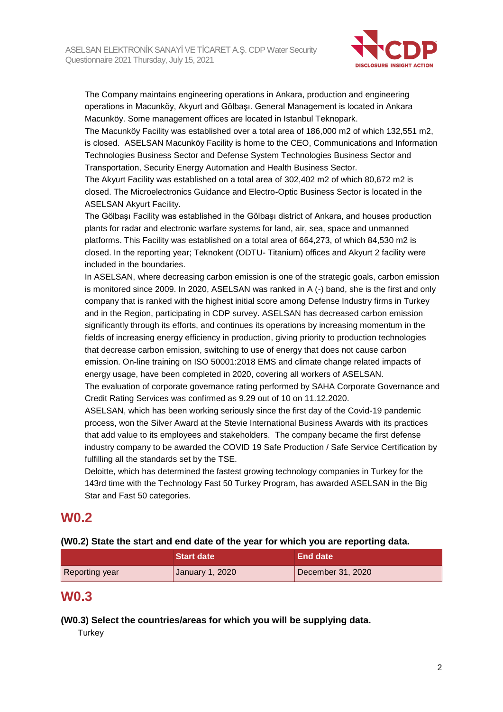

The Company maintains engineering operations in Ankara, production and engineering operations in Macunköy, Akyurt and Gölbaşı. General Management is located in Ankara Macunköy. Some management offices are located in Istanbul Teknopark.

The Macunköy Facility was established over a total area of 186,000 m2 of which 132,551 m2, is closed. ASELSAN Macunköy Facility is home to the CEO, Communications and Information Technologies Business Sector and Defense System Technologies Business Sector and Transportation, Security Energy Automation and Health Business Sector.

The Akyurt Facility was established on a total area of 302,402 m2 of which 80,672 m2 is closed. The Microelectronics Guidance and Electro-Optic Business Sector is located in the ASELSAN Akyurt Facility.

The Gölbaşı Facility was established in the Gölbaşı district of Ankara, and houses production plants for radar and electronic warfare systems for land, air, sea, space and unmanned platforms. This Facility was established on a total area of 664,273, of which 84,530 m2 is closed. In the reporting year; Teknokent (ODTU- Titanium) offices and Akyurt 2 facility were included in the boundaries.

In ASELSAN, where decreasing carbon emission is one of the strategic goals, carbon emission is monitored since 2009. In 2020, ASELSAN was ranked in A (-) band, she is the first and only company that is ranked with the highest initial score among Defense Industry firms in Turkey and in the Region, participating in CDP survey. ASELSAN has decreased carbon emission significantly through its efforts, and continues its operations by increasing momentum in the fields of increasing energy efficiency in production, giving priority to production technologies that decrease carbon emission, switching to use of energy that does not cause carbon emission. On-line training on ISO 50001:2018 EMS and climate change related impacts of energy usage, have been completed in 2020, covering all workers of ASELSAN.

The evaluation of corporate governance rating performed by SAHA Corporate Governance and Credit Rating Services was confirmed as 9.29 out of 10 on 11.12.2020.

ASELSAN, which has been working seriously since the first day of the Covid-19 pandemic process, won the Silver Award at the Stevie International Business Awards with its practices that add value to its employees and stakeholders. The company became the first defense industry company to be awarded the COVID 19 Safe Production / Safe Service Certification by fulfilling all the standards set by the TSE.

Deloitte, which has determined the fastest growing technology companies in Turkey for the 143rd time with the Technology Fast 50 Turkey Program, has awarded ASELSAN in the Big Star and Fast 50 categories.

### **W0.2**

#### **(W0.2) State the start and end date of the year for which you are reporting data.**

|                | <b>Start date</b> | End date          |  |
|----------------|-------------------|-------------------|--|
| Reporting year | January 1, 2020   | December 31, 2020 |  |

### **W0.3**

**(W0.3) Select the countries/areas for which you will be supplying data.**

**Turkey**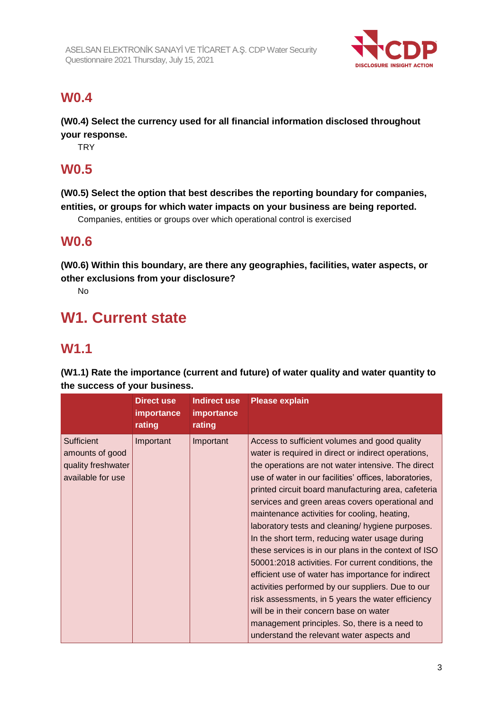

### **W0.4**

**(W0.4) Select the currency used for all financial information disclosed throughout your response.**

**TRY** 

### **W0.5**

**(W0.5) Select the option that best describes the reporting boundary for companies, entities, or groups for which water impacts on your business are being reported.**

Companies, entities or groups over which operational control is exercised

### **W0.6**

**(W0.6) Within this boundary, are there any geographies, facilities, water aspects, or other exclusions from your disclosure?**

No

# **W1. Current state**

### **W1.1**

**(W1.1) Rate the importance (current and future) of water quality and water quantity to the success of your business.**

|                                                                                 | <b>Direct use</b><br><b>importance</b><br>rating | <b>Indirect use</b><br>importance<br>rating | <b>Please explain</b>                                                                                                                                                                                                                                                                                                                                                                                                                                                                                                                                                                                                                                                                                                                                                                                                                                                                                      |
|---------------------------------------------------------------------------------|--------------------------------------------------|---------------------------------------------|------------------------------------------------------------------------------------------------------------------------------------------------------------------------------------------------------------------------------------------------------------------------------------------------------------------------------------------------------------------------------------------------------------------------------------------------------------------------------------------------------------------------------------------------------------------------------------------------------------------------------------------------------------------------------------------------------------------------------------------------------------------------------------------------------------------------------------------------------------------------------------------------------------|
| <b>Sufficient</b><br>amounts of good<br>quality freshwater<br>available for use | Important                                        | Important                                   | Access to sufficient volumes and good quality<br>water is required in direct or indirect operations,<br>the operations are not water intensive. The direct<br>use of water in our facilities' offices, laboratories,<br>printed circuit board manufacturing area, cafeteria<br>services and green areas covers operational and<br>maintenance activities for cooling, heating,<br>laboratory tests and cleaning/ hygiene purposes.<br>In the short term, reducing water usage during<br>these services is in our plans in the context of ISO<br>50001:2018 activities. For current conditions, the<br>efficient use of water has importance for indirect<br>activities performed by our suppliers. Due to our<br>risk assessments, in 5 years the water efficiency<br>will be in their concern base on water<br>management principles. So, there is a need to<br>understand the relevant water aspects and |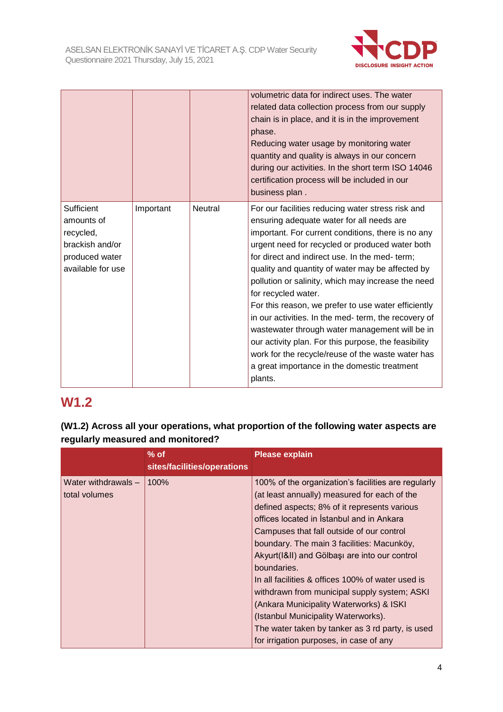

|                                                                                                 |           |                | volumetric data for indirect uses. The water<br>related data collection process from our supply<br>chain is in place, and it is in the improvement<br>phase.<br>Reducing water usage by monitoring water<br>quantity and quality is always in our concern<br>during our activities. In the short term ISO 14046<br>certification process will be included in our<br>business plan.                                                                                                                                                                                                                                                                                                                                                  |
|-------------------------------------------------------------------------------------------------|-----------|----------------|-------------------------------------------------------------------------------------------------------------------------------------------------------------------------------------------------------------------------------------------------------------------------------------------------------------------------------------------------------------------------------------------------------------------------------------------------------------------------------------------------------------------------------------------------------------------------------------------------------------------------------------------------------------------------------------------------------------------------------------|
| Sufficient<br>amounts of<br>recycled,<br>brackish and/or<br>produced water<br>available for use | Important | <b>Neutral</b> | For our facilities reducing water stress risk and<br>ensuring adequate water for all needs are<br>important. For current conditions, there is no any<br>urgent need for recycled or produced water both<br>for direct and indirect use. In the med- term;<br>quality and quantity of water may be affected by<br>pollution or salinity, which may increase the need<br>for recycled water.<br>For this reason, we prefer to use water efficiently<br>in our activities. In the med- term, the recovery of<br>wastewater through water management will be in<br>our activity plan. For this purpose, the feasibility<br>work for the recycle/reuse of the waste water has<br>a great importance in the domestic treatment<br>plants. |

### **W1.2**

**(W1.2) Across all your operations, what proportion of the following water aspects are regularly measured and monitored?**

|                                      | $%$ of<br>sites/facilities/operations | <b>Please explain</b>                                                                                                                                                                                                                                                                                                                                                                                                                                                                                                                                                                                                                             |
|--------------------------------------|---------------------------------------|---------------------------------------------------------------------------------------------------------------------------------------------------------------------------------------------------------------------------------------------------------------------------------------------------------------------------------------------------------------------------------------------------------------------------------------------------------------------------------------------------------------------------------------------------------------------------------------------------------------------------------------------------|
| Water withdrawals -<br>total volumes | 100%                                  | 100% of the organization's facilities are regularly<br>(at least annually) measured for each of the<br>defined aspects; 8% of it represents various<br>offices located in Istanbul and in Ankara<br>Campuses that fall outside of our control<br>boundary. The main 3 facilities: Macunköy,<br>Akyurt(I&II) and Gölbaşı are into our control<br>boundaries.<br>In all facilities & offices 100% of water used is<br>withdrawn from municipal supply system; ASKI<br>(Ankara Municipality Waterworks) & ISKI<br>(Istanbul Municipality Waterworks).<br>The water taken by tanker as 3 rd party, is used<br>for irrigation purposes, in case of any |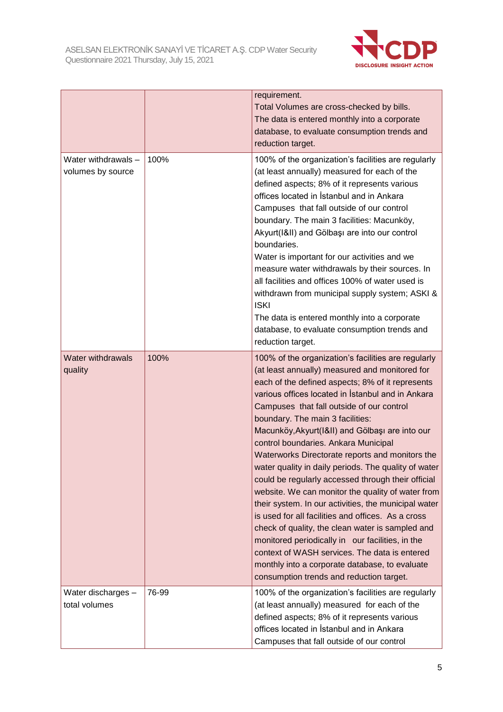

|                                          |       | requirement.<br>Total Volumes are cross-checked by bills.<br>The data is entered monthly into a corporate<br>database, to evaluate consumption trends and<br>reduction target.                                                                                                                                                                                                                                                                                                                                                                                                                                                                                                                                                                                                                                                                                                                                                                                                        |
|------------------------------------------|-------|---------------------------------------------------------------------------------------------------------------------------------------------------------------------------------------------------------------------------------------------------------------------------------------------------------------------------------------------------------------------------------------------------------------------------------------------------------------------------------------------------------------------------------------------------------------------------------------------------------------------------------------------------------------------------------------------------------------------------------------------------------------------------------------------------------------------------------------------------------------------------------------------------------------------------------------------------------------------------------------|
| Water withdrawals -<br>volumes by source | 100%  | 100% of the organization's facilities are regularly<br>(at least annually) measured for each of the<br>defined aspects; 8% of it represents various<br>offices located in Istanbul and in Ankara<br>Campuses that fall outside of our control<br>boundary. The main 3 facilities: Macunköy,<br>Akyurt(I&II) and Gölbaşı are into our control<br>boundaries.<br>Water is important for our activities and we<br>measure water withdrawals by their sources. In<br>all facilities and offices 100% of water used is<br>withdrawn from municipal supply system; ASKI &<br><b>ISKI</b><br>The data is entered monthly into a corporate<br>database, to evaluate consumption trends and<br>reduction target.                                                                                                                                                                                                                                                                               |
| <b>Water withdrawals</b><br>quality      | 100%  | 100% of the organization's facilities are regularly<br>(at least annually) measured and monitored for<br>each of the defined aspects; 8% of it represents<br>various offices located in Istanbul and in Ankara<br>Campuses that fall outside of our control<br>boundary. The main 3 facilities:<br>Macunköy, Akyurt(I&II) and Gölbaşı are into our<br>control boundaries. Ankara Municipal<br>Waterworks Directorate reports and monitors the<br>water quality in daily periods. The quality of water<br>could be regularly accessed through their official<br>website. We can monitor the quality of water from<br>their system. In our activities, the municipal water<br>is used for all facilities and offices. As a cross<br>check of quality, the clean water is sampled and<br>monitored periodically in our facilities, in the<br>context of WASH services. The data is entered<br>monthly into a corporate database, to evaluate<br>consumption trends and reduction target. |
| Water discharges -<br>total volumes      | 76-99 | 100% of the organization's facilities are regularly<br>(at least annually) measured for each of the<br>defined aspects; 8% of it represents various<br>offices located in Istanbul and in Ankara<br>Campuses that fall outside of our control                                                                                                                                                                                                                                                                                                                                                                                                                                                                                                                                                                                                                                                                                                                                         |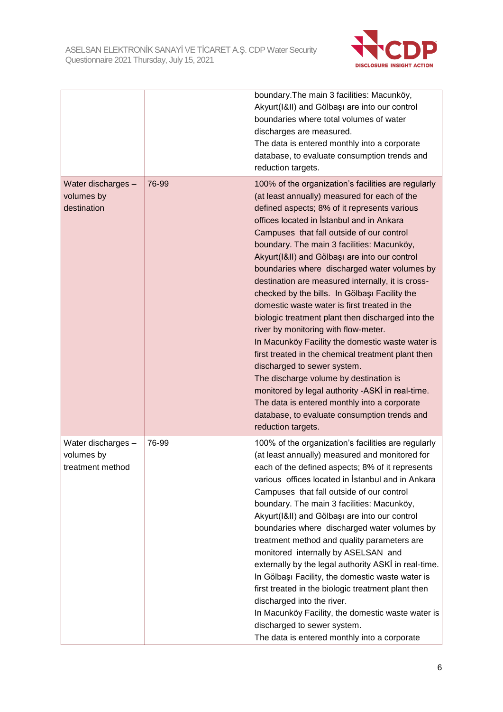

|                                                      |       | boundary. The main 3 facilities: Macunköy,<br>Akyurt(I&II) and Gölbaşı are into our control<br>boundaries where total volumes of water<br>discharges are measured.<br>The data is entered monthly into a corporate<br>database, to evaluate consumption trends and<br>reduction targets.                                                                                                                                                                                                                                                                                                                                                                                                                                                                                                                                                                                                                                                                                                                     |
|------------------------------------------------------|-------|--------------------------------------------------------------------------------------------------------------------------------------------------------------------------------------------------------------------------------------------------------------------------------------------------------------------------------------------------------------------------------------------------------------------------------------------------------------------------------------------------------------------------------------------------------------------------------------------------------------------------------------------------------------------------------------------------------------------------------------------------------------------------------------------------------------------------------------------------------------------------------------------------------------------------------------------------------------------------------------------------------------|
| Water discharges -<br>volumes by<br>destination      | 76-99 | 100% of the organization's facilities are regularly<br>(at least annually) measured for each of the<br>defined aspects; 8% of it represents various<br>offices located in Istanbul and in Ankara<br>Campuses that fall outside of our control<br>boundary. The main 3 facilities: Macunköy,<br>Akyurt(I&II) and Gölbaşı are into our control<br>boundaries where discharged water volumes by<br>destination are measured internally, it is cross-<br>checked by the bills. In Gölbaşı Facility the<br>domestic waste water is first treated in the<br>biologic treatment plant then discharged into the<br>river by monitoring with flow-meter.<br>In Macunköy Facility the domestic waste water is<br>first treated in the chemical treatment plant then<br>discharged to sewer system.<br>The discharge volume by destination is<br>monitored by legal authority -ASKİ in real-time.<br>The data is entered monthly into a corporate<br>database, to evaluate consumption trends and<br>reduction targets. |
| Water discharges -<br>volumes by<br>treatment method | 76-99 | 100% of the organization's facilities are regularly<br>(at least annually) measured and monitored for<br>each of the defined aspects; 8% of it represents<br>various offices located in Istanbul and in Ankara<br>Campuses that fall outside of our control<br>boundary. The main 3 facilities: Macunköy,<br>Akyurt(I&II) and Gölbaşı are into our control<br>boundaries where discharged water volumes by<br>treatment method and quality parameters are<br>monitored internally by ASELSAN and<br>externally by the legal authority ASKI in real-time.<br>In Gölbaşı Facility, the domestic waste water is<br>first treated in the biologic treatment plant then<br>discharged into the river.<br>In Macunköy Facility, the domestic waste water is<br>discharged to sewer system.<br>The data is entered monthly into a corporate                                                                                                                                                                         |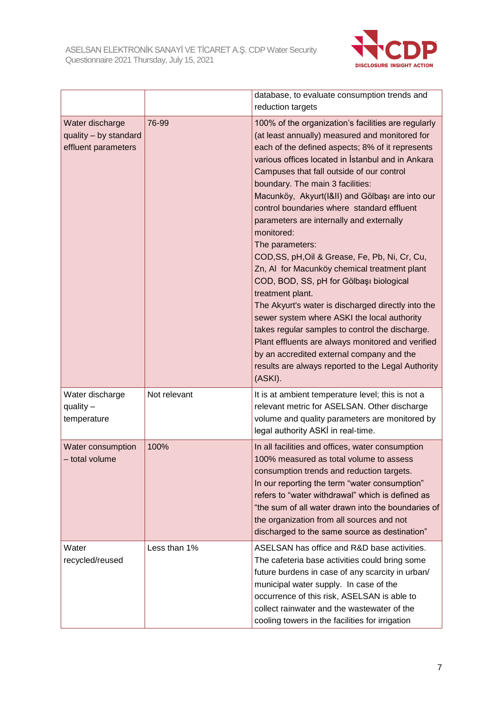

|                                                                 |              | database, to evaluate consumption trends and<br>reduction targets                                                                                                                                                                                                                                                                                                                                                                                                                                                                                                                                                                                                                                                                                                                                                                                                                                                                                                         |
|-----------------------------------------------------------------|--------------|---------------------------------------------------------------------------------------------------------------------------------------------------------------------------------------------------------------------------------------------------------------------------------------------------------------------------------------------------------------------------------------------------------------------------------------------------------------------------------------------------------------------------------------------------------------------------------------------------------------------------------------------------------------------------------------------------------------------------------------------------------------------------------------------------------------------------------------------------------------------------------------------------------------------------------------------------------------------------|
| Water discharge<br>quality - by standard<br>effluent parameters | 76-99        | 100% of the organization's facilities are regularly<br>(at least annually) measured and monitored for<br>each of the defined aspects; 8% of it represents<br>various offices located in Istanbul and in Ankara<br>Campuses that fall outside of our control<br>boundary. The main 3 facilities:<br>Macunköy, Akyurt(I&II) and Gölbaşı are into our<br>control boundaries where standard effluent<br>parameters are internally and externally<br>monitored:<br>The parameters:<br>COD, SS, pH, Oil & Grease, Fe, Pb, Ni, Cr, Cu,<br>Zn, AI for Macunköy chemical treatment plant<br>COD, BOD, SS, pH for Gölbaşı biological<br>treatment plant.<br>The Akyurt's water is discharged directly into the<br>sewer system where ASKI the local authority<br>takes regular samples to control the discharge.<br>Plant effluents are always monitored and verified<br>by an accredited external company and the<br>results are always reported to the Legal Authority<br>(ASKI). |
| Water discharge<br>quality $-$<br>temperature                   | Not relevant | It is at ambient temperature level; this is not a<br>relevant metric for ASELSAN. Other discharge<br>volume and quality parameters are monitored by<br>legal authority ASKİ in real-time.                                                                                                                                                                                                                                                                                                                                                                                                                                                                                                                                                                                                                                                                                                                                                                                 |
| Water consumption<br>- total volume                             | 100%         | In all facilities and offices, water consumption<br>100% measured as total volume to assess<br>consumption trends and reduction targets.<br>In our reporting the term "water consumption"<br>refers to "water withdrawal" which is defined as<br>"the sum of all water drawn into the boundaries of<br>the organization from all sources and not<br>discharged to the same source as destination"                                                                                                                                                                                                                                                                                                                                                                                                                                                                                                                                                                         |
| Water<br>recycled/reused                                        | Less than 1% | ASELSAN has office and R&D base activities.<br>The cafeteria base activities could bring some<br>future burdens in case of any scarcity in urban/<br>municipal water supply. In case of the<br>occurrence of this risk, ASELSAN is able to<br>collect rainwater and the wastewater of the<br>cooling towers in the facilities for irrigation                                                                                                                                                                                                                                                                                                                                                                                                                                                                                                                                                                                                                              |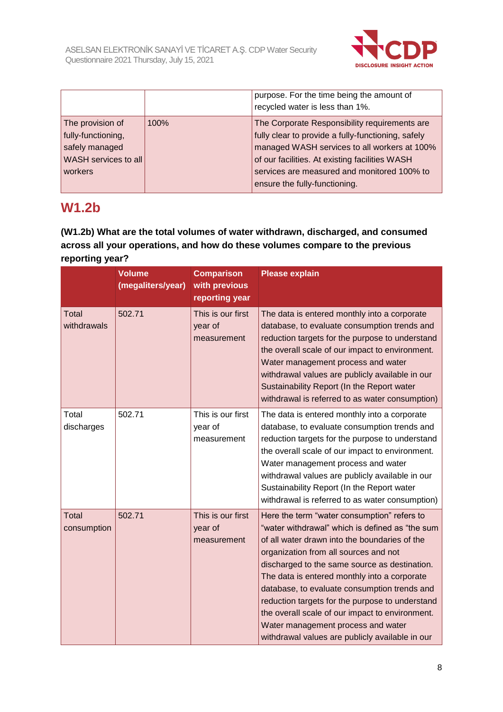

|                                                                                             |      | purpose. For the time being the amount of<br>recycled water is less than 1%.                                                                                                                                                                                                          |
|---------------------------------------------------------------------------------------------|------|---------------------------------------------------------------------------------------------------------------------------------------------------------------------------------------------------------------------------------------------------------------------------------------|
| The provision of<br>fully-functioning,<br>safely managed<br>WASH services to all<br>workers | 100% | The Corporate Responsibility requirements are<br>fully clear to provide a fully-functioning, safely<br>managed WASH services to all workers at 100%<br>of our facilities. At existing facilities WASH<br>services are measured and monitored 100% to<br>ensure the fully-functioning. |

### **W1.2b**

#### **(W1.2b) What are the total volumes of water withdrawn, discharged, and consumed across all your operations, and how do these volumes compare to the previous reporting year?**

|                      | <b>Volume</b><br>(megaliters/year) | <b>Comparison</b><br>with previous<br>reporting year | <b>Please explain</b>                                                                                                                                                                                                                                                                                                                                                                                                                                                                                                                    |
|----------------------|------------------------------------|------------------------------------------------------|------------------------------------------------------------------------------------------------------------------------------------------------------------------------------------------------------------------------------------------------------------------------------------------------------------------------------------------------------------------------------------------------------------------------------------------------------------------------------------------------------------------------------------------|
| Total<br>withdrawals | 502.71                             | This is our first<br>year of<br>measurement          | The data is entered monthly into a corporate<br>database, to evaluate consumption trends and<br>reduction targets for the purpose to understand<br>the overall scale of our impact to environment.<br>Water management process and water<br>withdrawal values are publicly available in our<br>Sustainability Report (In the Report water<br>withdrawal is referred to as water consumption)                                                                                                                                             |
| Total<br>discharges  | 502.71                             | This is our first<br>year of<br>measurement          | The data is entered monthly into a corporate<br>database, to evaluate consumption trends and<br>reduction targets for the purpose to understand<br>the overall scale of our impact to environment.<br>Water management process and water<br>withdrawal values are publicly available in our<br>Sustainability Report (In the Report water<br>withdrawal is referred to as water consumption)                                                                                                                                             |
| Total<br>consumption | 502.71                             | This is our first<br>year of<br>measurement          | Here the term "water consumption" refers to<br>"water withdrawal" which is defined as "the sum<br>of all water drawn into the boundaries of the<br>organization from all sources and not<br>discharged to the same source as destination.<br>The data is entered monthly into a corporate<br>database, to evaluate consumption trends and<br>reduction targets for the purpose to understand<br>the overall scale of our impact to environment.<br>Water management process and water<br>withdrawal values are publicly available in our |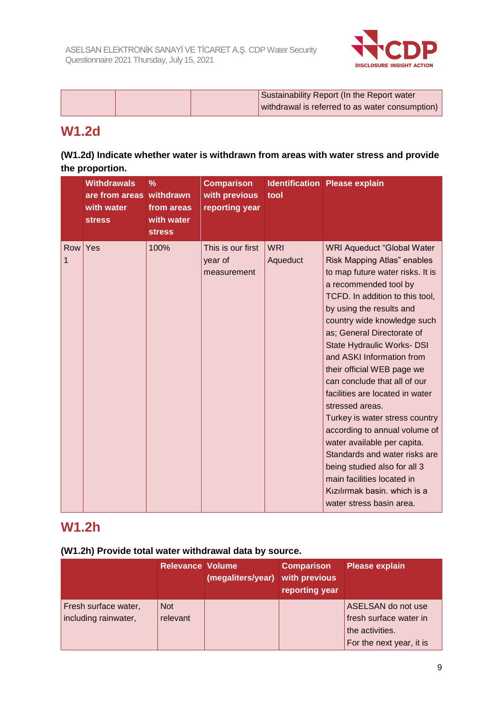

|  | Sustainability Report (In the Report water      |
|--|-------------------------------------------------|
|  | withdrawal is referred to as water consumption) |

### **W1.2d**

### **(W1.2d) Indicate whether water is withdrawn from areas with water stress and provide the proportion.**

|          | <b>Withdrawals</b><br>are from areas withdrawn<br>with water<br><b>stress</b> | $\frac{9}{6}$<br>from areas<br>with water<br><b>stress</b> | <b>Comparison</b><br>with previous<br>reporting year | tool                   | <b>Identification Please explain</b>                                                                                                                                                                                                                                                                                                                                                                                                                                                                                                                                                                                                                                                                  |
|----------|-------------------------------------------------------------------------------|------------------------------------------------------------|------------------------------------------------------|------------------------|-------------------------------------------------------------------------------------------------------------------------------------------------------------------------------------------------------------------------------------------------------------------------------------------------------------------------------------------------------------------------------------------------------------------------------------------------------------------------------------------------------------------------------------------------------------------------------------------------------------------------------------------------------------------------------------------------------|
| Row<br>1 | Yes                                                                           | 100%                                                       | This is our first<br>year of<br>measurement          | <b>WRI</b><br>Aqueduct | <b>WRI Aqueduct "Global Water</b><br>Risk Mapping Atlas" enables<br>to map future water risks. It is<br>a recommended tool by<br>TCFD. In addition to this tool,<br>by using the results and<br>country wide knowledge such<br>as; General Directorate of<br>State Hydraulic Works- DSI<br>and ASKI Information from<br>their official WEB page we<br>can conclude that all of our<br>facilities are located in water<br>stressed areas.<br>Turkey is water stress country<br>according to annual volume of<br>water available per capita.<br>Standards and water risks are<br>being studied also for all 3<br>main facilities located in<br>Kızılırmak basin. which is a<br>water stress basin area. |

### **W1.2h**

#### **(W1.2h) Provide total water withdrawal data by source.**

|                                              | <b>Relevance Volume</b> | (megaliters/year) | <b>Comparison</b><br>with previous<br>reporting year | <b>Please explain</b>                                                                       |
|----------------------------------------------|-------------------------|-------------------|------------------------------------------------------|---------------------------------------------------------------------------------------------|
| Fresh surface water,<br>including rainwater, | <b>Not</b><br>relevant  |                   |                                                      | ASELSAN do not use<br>fresh surface water in<br>the activities.<br>For the next year, it is |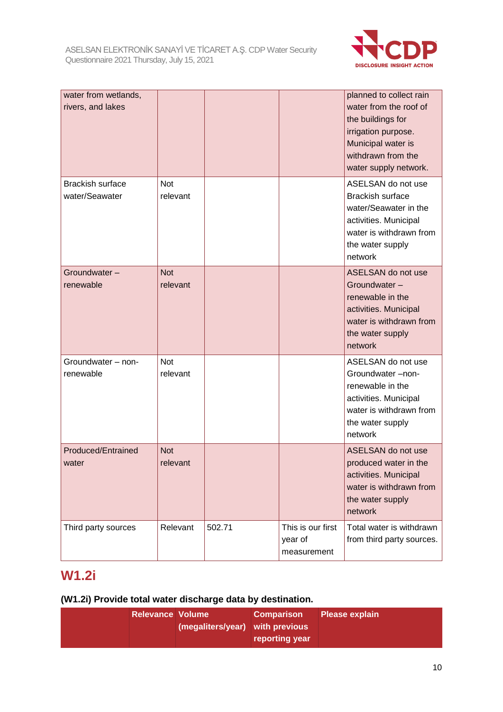

| water from wetlands,<br>rivers, and lakes |                        |        |                                             | planned to collect rain<br>water from the roof of<br>the buildings for<br>irrigation purpose.<br>Municipal water is<br>withdrawn from the<br>water supply network. |
|-------------------------------------------|------------------------|--------|---------------------------------------------|--------------------------------------------------------------------------------------------------------------------------------------------------------------------|
| <b>Brackish surface</b><br>water/Seawater | Not<br>relevant        |        |                                             | ASELSAN do not use<br><b>Brackish surface</b><br>water/Seawater in the<br>activities. Municipal<br>water is withdrawn from<br>the water supply<br>network          |
| Groundwater-<br>renewable                 | <b>Not</b><br>relevant |        |                                             | ASELSAN do not use<br>Groundwater-<br>renewable in the<br>activities. Municipal<br>water is withdrawn from<br>the water supply<br>network                          |
| Groundwater - non-<br>renewable           | Not<br>relevant        |        |                                             | ASELSAN do not use<br>Groundwater-non-<br>renewable in the<br>activities. Municipal<br>water is withdrawn from<br>the water supply<br>network                      |
| Produced/Entrained<br>water               | <b>Not</b><br>relevant |        |                                             | ASELSAN do not use<br>produced water in the<br>activities. Municipal<br>water is withdrawn from<br>the water supply<br>network                                     |
| Third party sources                       | Relevant               | 502.71 | This is our first<br>year of<br>measurement | Total water is withdrawn<br>from third party sources.                                                                                                              |

# **W1.2i**

### **(W1.2i) Provide total water discharge data by destination.**

| <b>Relevance Volume</b> |                                 | <b>Comparison</b> | <b>Please explain</b> |
|-------------------------|---------------------------------|-------------------|-----------------------|
|                         | (megaliters/year) with previous |                   |                       |
|                         |                                 | reporting year    |                       |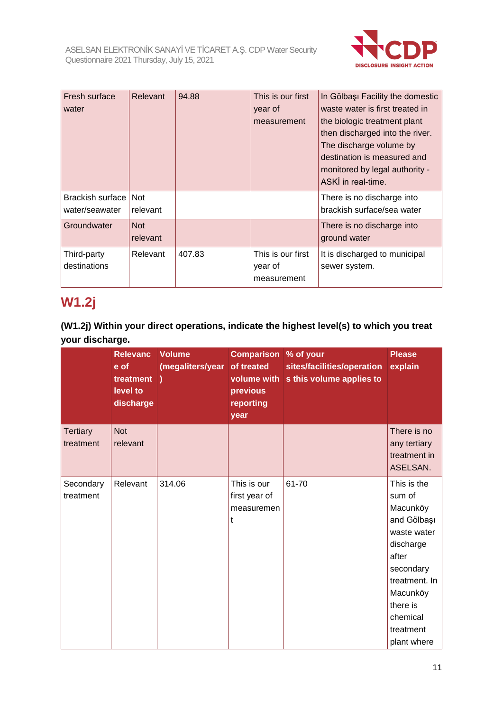

| Fresh surface<br>water                   | Relevant               | 94.88  | This is our first<br>year of<br>measurement | In Gölbaşı Facility the domestic<br>waste water is first treated in<br>the biologic treatment plant<br>then discharged into the river.<br>The discharge volume by<br>destination is measured and<br>monitored by legal authority -<br>ASKİ in real-time. |
|------------------------------------------|------------------------|--------|---------------------------------------------|----------------------------------------------------------------------------------------------------------------------------------------------------------------------------------------------------------------------------------------------------------|
| Brackish surface   Not<br>water/seawater | relevant               |        |                                             | There is no discharge into<br>brackish surface/sea water                                                                                                                                                                                                 |
| Groundwater                              | <b>Not</b><br>relevant |        |                                             | There is no discharge into<br>ground water                                                                                                                                                                                                               |
| Third-party<br>destinations              | Relevant               | 407.83 | This is our first<br>year of<br>measurement | It is discharged to municipal<br>sewer system.                                                                                                                                                                                                           |

## **W1.2j**

**(W1.2j) Within your direct operations, indicate the highest level(s) to which you treat your discharge.**

|                              | <b>Relevanc</b><br>e of<br>treatment )<br>level to<br>discharge | <b>Volume</b><br>(megaliters/year | <b>Comparison % of your</b><br>of treated<br>volume with<br>previous<br>reporting<br>year | sites/facilities/operation<br>s this volume applies to | <b>Please</b><br>explain                                                                                                                                                            |
|------------------------------|-----------------------------------------------------------------|-----------------------------------|-------------------------------------------------------------------------------------------|--------------------------------------------------------|-------------------------------------------------------------------------------------------------------------------------------------------------------------------------------------|
| <b>Tertiary</b><br>treatment | <b>Not</b><br>relevant                                          |                                   |                                                                                           |                                                        | There is no<br>any tertiary<br>treatment in<br>ASELSAN.                                                                                                                             |
| Secondary<br>treatment       | Relevant                                                        | 314.06                            | This is our<br>first year of<br>measuremen<br>t                                           | 61-70                                                  | This is the<br>sum of<br>Macunköy<br>and Gölbaşı<br>waste water<br>discharge<br>after<br>secondary<br>treatment. In<br>Macunköy<br>there is<br>chemical<br>treatment<br>plant where |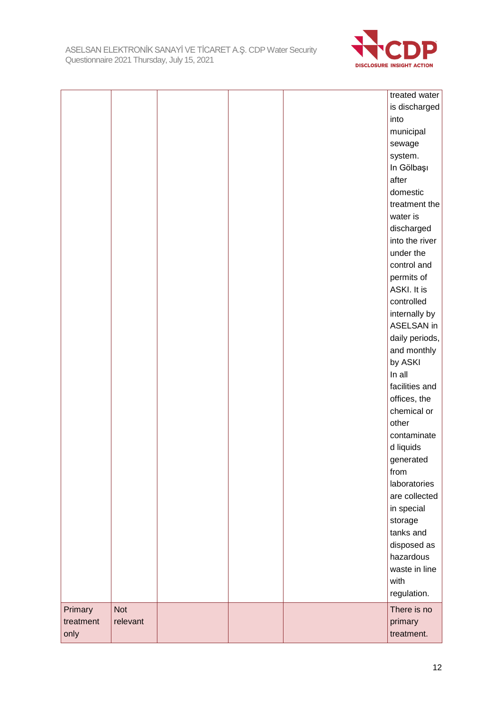

| treatment<br>only | relevant   |  | primary<br>treatment.    |
|-------------------|------------|--|--------------------------|
| Primary           | <b>Not</b> |  | There is no              |
|                   |            |  | regulation.              |
|                   |            |  | with                     |
|                   |            |  | waste in line            |
|                   |            |  | hazardous                |
|                   |            |  | disposed as              |
|                   |            |  | tanks and                |
|                   |            |  | storage                  |
|                   |            |  | in special               |
|                   |            |  | are collected            |
|                   |            |  | laboratories             |
|                   |            |  | from                     |
|                   |            |  | generated                |
|                   |            |  | contaminate<br>d liquids |
|                   |            |  |                          |
|                   |            |  | chemical or<br>other     |
|                   |            |  | offices, the             |
|                   |            |  | facilities and           |
|                   |            |  | In all                   |
|                   |            |  | by ASKI                  |
|                   |            |  | and monthly              |
|                   |            |  | daily periods,           |
|                   |            |  | ASELSAN in               |
|                   |            |  | internally by            |
|                   |            |  | controlled               |
|                   |            |  | ASKI. It is              |
|                   |            |  | permits of               |
|                   |            |  | control and              |
|                   |            |  | under the                |
|                   |            |  | into the river           |
|                   |            |  | discharged               |
|                   |            |  | water is                 |
|                   |            |  | treatment the            |
|                   |            |  | domestic                 |
|                   |            |  | after                    |
|                   |            |  | In Gölbaşı               |
|                   |            |  | system.                  |
|                   |            |  | sewage                   |
|                   |            |  | municipal                |
|                   |            |  | into                     |
|                   |            |  | is discharged            |
|                   |            |  | treated water            |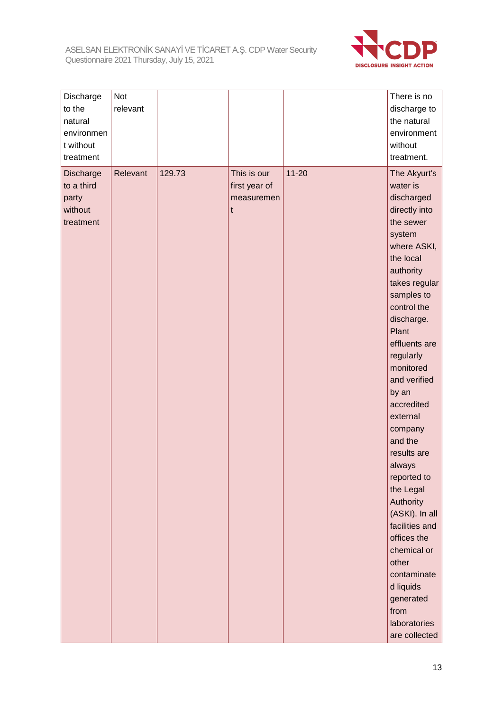

| Discharge<br>to the<br>natural<br>environmen<br>t without<br>treatment | Not<br>relevant |        |                                                 |           | There is no<br>discharge to<br>the natural<br>environment<br>without<br>treatment.                                                                                                                                                                                                                                                                                                                                                                                                                                                              |
|------------------------------------------------------------------------|-----------------|--------|-------------------------------------------------|-----------|-------------------------------------------------------------------------------------------------------------------------------------------------------------------------------------------------------------------------------------------------------------------------------------------------------------------------------------------------------------------------------------------------------------------------------------------------------------------------------------------------------------------------------------------------|
| Discharge<br>to a third<br>party<br>without<br>treatment               | Relevant        | 129.73 | This is our<br>first year of<br>measuremen<br>t | $11 - 20$ | The Akyurt's<br>water is<br>discharged<br>directly into<br>the sewer<br>system<br>where ASKI,<br>the local<br>authority<br>takes regular<br>samples to<br>control the<br>discharge.<br>Plant<br>effluents are<br>regularly<br>monitored<br>and verified<br>by an<br>accredited<br>external<br>company<br>and the<br>results are<br>always<br>reported to<br>the Legal<br>Authority<br>(ASKI). In all<br>facilities and<br>offices the<br>chemical or<br>other<br>contaminate<br>d liquids<br>generated<br>from<br>laboratories<br>are collected |
|                                                                        |                 |        |                                                 |           |                                                                                                                                                                                                                                                                                                                                                                                                                                                                                                                                                 |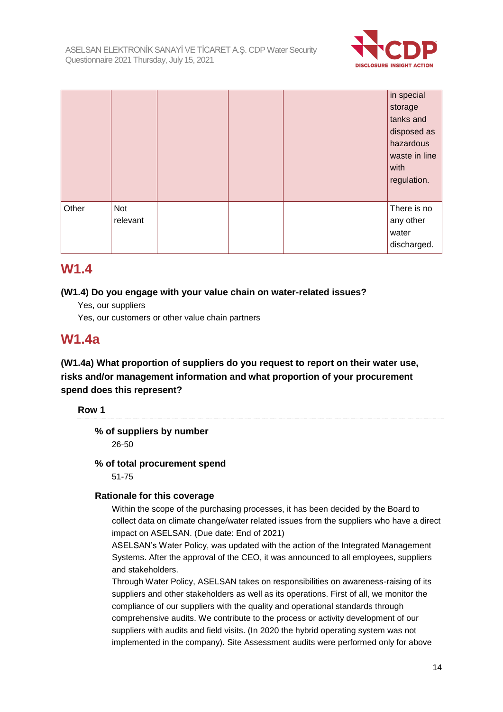

|       |                 |  | in special<br>storage<br>tanks and<br>disposed as<br>hazardous<br>waste in line<br>with<br>regulation. |
|-------|-----------------|--|--------------------------------------------------------------------------------------------------------|
| Other | Not<br>relevant |  | There is no<br>any other<br>water<br>discharged.                                                       |

### **W1.4**

#### **(W1.4) Do you engage with your value chain on water-related issues?**

Yes, our suppliers

Yes, our customers or other value chain partners

### **W1.4a**

**(W1.4a) What proportion of suppliers do you request to report on their water use, risks and/or management information and what proportion of your procurement spend does this represent?**

**Row 1**

**% of suppliers by number**

26-50

#### **% of total procurement spend**

51-75

#### **Rationale for this coverage**

Within the scope of the purchasing processes, it has been decided by the Board to collect data on climate change/water related issues from the suppliers who have a direct impact on ASELSAN. (Due date: End of 2021)

ASELSAN's Water Policy, was updated with the action of the Integrated Management Systems. After the approval of the CEO, it was announced to all employees, suppliers and stakeholders.

Through Water Policy, ASELSAN takes on responsibilities on awareness-raising of its suppliers and other stakeholders as well as its operations. First of all, we monitor the compliance of our suppliers with the quality and operational standards through comprehensive audits. We contribute to the process or activity development of our suppliers with audits and field visits. (In 2020 the hybrid operating system was not implemented in the company). Site Assessment audits were performed only for above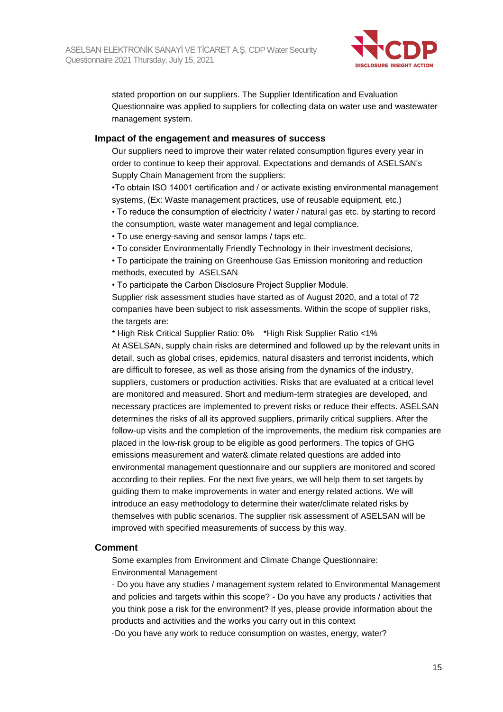

stated proportion on our suppliers. The Supplier Identification and Evaluation Questionnaire was applied to suppliers for collecting data on water use and wastewater management system.

#### **Impact of the engagement and measures of success**

Our suppliers need to improve their water related consumption figures every year in order to continue to keep their approval. Expectations and demands of ASELSAN's Supply Chain Management from the suppliers:

•To obtain ISO 14001 certification and / or activate existing environmental management systems, (Ex: Waste management practices, use of reusable equipment, etc.)

• To reduce the consumption of electricity / water / natural gas etc. by starting to record the consumption, waste water management and legal compliance.

• To use energy-saving and sensor lamps / taps etc.

• To consider Environmentally Friendly Technology in their investment decisions,

• To participate the training on Greenhouse Gas Emission monitoring and reduction methods, executed by ASELSAN

• To participate the Carbon Disclosure Project Supplier Module.

Supplier risk assessment studies have started as of August 2020, and a total of 72 companies have been subject to risk assessments. Within the scope of supplier risks, the targets are:

\* High Risk Critical Supplier Ratio: 0% \*High Risk Supplier Ratio <1%

At ASELSAN, supply chain risks are determined and followed up by the relevant units in detail, such as global crises, epidemics, natural disasters and terrorist incidents, which are difficult to foresee, as well as those arising from the dynamics of the industry, suppliers, customers or production activities. Risks that are evaluated at a critical level are monitored and measured. Short and medium-term strategies are developed, and necessary practices are implemented to prevent risks or reduce their effects. ASELSAN determines the risks of all its approved suppliers, primarily critical suppliers. After the follow-up visits and the completion of the improvements, the medium risk companies are placed in the low-risk group to be eligible as good performers. The topics of GHG emissions measurement and water& climate related questions are added into environmental management questionnaire and our suppliers are monitored and scored according to their replies. For the next five years, we will help them to set targets by guiding them to make improvements in water and energy related actions. We will introduce an easy methodology to determine their water/climate related risks by themselves with public scenarios. The supplier risk assessment of ASELSAN will be improved with specified measurements of success by this way.

#### **Comment**

Some examples from Environment and Climate Change Questionnaire: Environmental Management

- Do you have any studies / management system related to Environmental Management and policies and targets within this scope? - Do you have any products / activities that you think pose a risk for the environment? If yes, please provide information about the products and activities and the works you carry out in this context

-Do you have any work to reduce consumption on wastes, energy, water?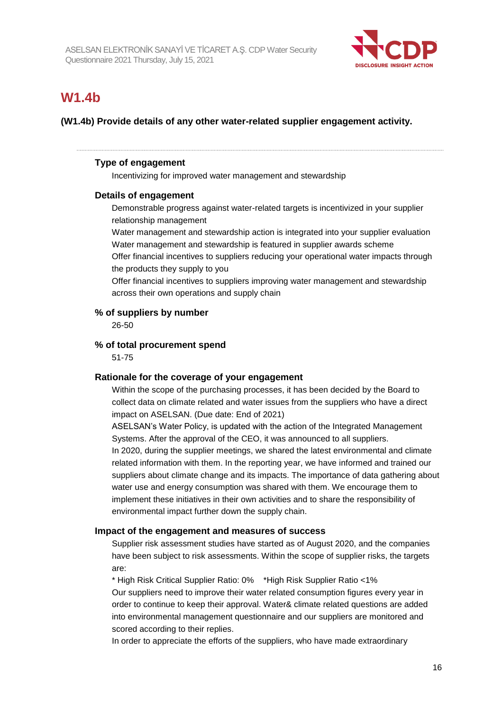

### **W1.4b**

#### **(W1.4b) Provide details of any other water-related supplier engagement activity.**

#### **Type of engagement**

Incentivizing for improved water management and stewardship

#### **Details of engagement**

Demonstrable progress against water-related targets is incentivized in your supplier relationship management

Water management and stewardship action is integrated into your supplier evaluation Water management and stewardship is featured in supplier awards scheme

Offer financial incentives to suppliers reducing your operational water impacts through the products they supply to you

Offer financial incentives to suppliers improving water management and stewardship across their own operations and supply chain

#### **% of suppliers by number**

26-50

#### **% of total procurement spend**

51-75

#### **Rationale for the coverage of your engagement**

Within the scope of the purchasing processes, it has been decided by the Board to collect data on climate related and water issues from the suppliers who have a direct impact on ASELSAN. (Due date: End of 2021)

ASELSAN's Water Policy, is updated with the action of the Integrated Management Systems. After the approval of the CEO, it was announced to all suppliers.

In 2020, during the supplier meetings, we shared the latest environmental and climate related information with them. In the reporting year, we have informed and trained our suppliers about climate change and its impacts. The importance of data gathering about water use and energy consumption was shared with them. We encourage them to implement these initiatives in their own activities and to share the responsibility of environmental impact further down the supply chain.

#### **Impact of the engagement and measures of success**

Supplier risk assessment studies have started as of August 2020, and the companies have been subject to risk assessments. Within the scope of supplier risks, the targets are:

\* High Risk Critical Supplier Ratio: 0% \*High Risk Supplier Ratio <1% Our suppliers need to improve their water related consumption figures every year in order to continue to keep their approval. Water& climate related questions are added into environmental management questionnaire and our suppliers are monitored and scored according to their replies.

In order to appreciate the efforts of the suppliers, who have made extraordinary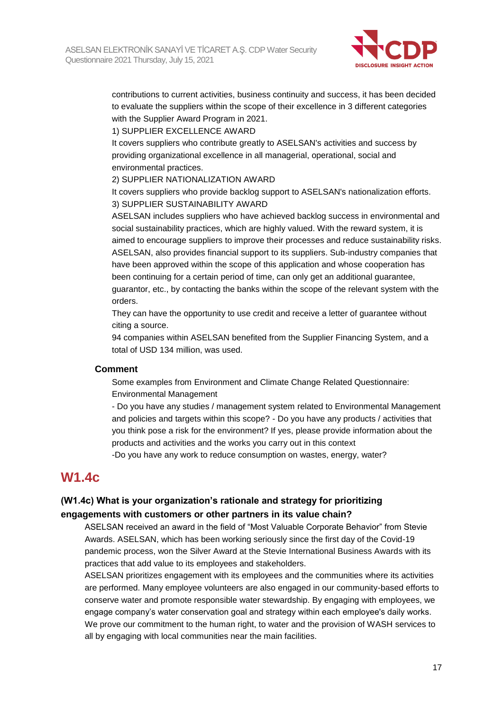

contributions to current activities, business continuity and success, it has been decided to evaluate the suppliers within the scope of their excellence in 3 different categories with the Supplier Award Program in 2021.

1) SUPPLIER EXCELLENCE AWARD

It covers suppliers who contribute greatly to ASELSAN's activities and success by providing organizational excellence in all managerial, operational, social and environmental practices.

2) SUPPLIER NATIONALIZATION AWARD

It covers suppliers who provide backlog support to ASELSAN's nationalization efforts. 3) SUPPLIER SUSTAINABILITY AWARD

ASELSAN includes suppliers who have achieved backlog success in environmental and social sustainability practices, which are highly valued. With the reward system, it is aimed to encourage suppliers to improve their processes and reduce sustainability risks. ASELSAN, also provides financial support to its suppliers. Sub-industry companies that have been approved within the scope of this application and whose cooperation has been continuing for a certain period of time, can only get an additional guarantee, guarantor, etc., by contacting the banks within the scope of the relevant system with the orders.

They can have the opportunity to use credit and receive a letter of guarantee without citing a source.

94 companies within ASELSAN benefited from the Supplier Financing System, and a total of USD 134 million, was used.

#### **Comment**

Some examples from Environment and Climate Change Related Questionnaire: Environmental Management

- Do you have any studies / management system related to Environmental Management and policies and targets within this scope? - Do you have any products / activities that you think pose a risk for the environment? If yes, please provide information about the products and activities and the works you carry out in this context

-Do you have any work to reduce consumption on wastes, energy, water?

### **W1.4c**

#### **(W1.4c) What is your organization's rationale and strategy for prioritizing engagements with customers or other partners in its value chain?**

ASELSAN received an award in the field of "Most Valuable Corporate Behavior" from Stevie Awards. ASELSAN, which has been working seriously since the first day of the Covid-19 pandemic process, won the Silver Award at the Stevie International Business Awards with its practices that add value to its employees and stakeholders.

ASELSAN prioritizes engagement with its employees and the communities where its activities are performed. Many employee volunteers are also engaged in our community-based efforts to conserve water and promote responsible water stewardship. By engaging with employees, we engage company's water conservation goal and strategy within each employee's daily works. We prove our commitment to the human right, to water and the provision of WASH services to all by engaging with local communities near the main facilities.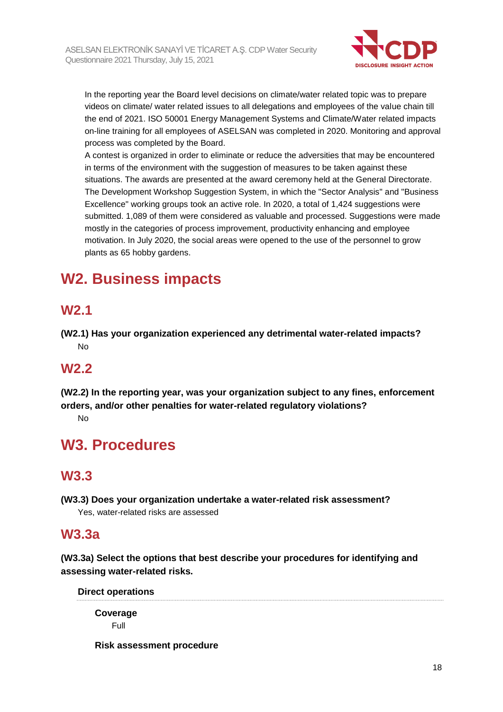

In the reporting year the Board level decisions on climate/water related topic was to prepare videos on climate/ water related issues to all delegations and employees of the value chain till the end of 2021. ISO 50001 Energy Management Systems and Climate/Water related impacts on-line training for all employees of ASELSAN was completed in 2020. Monitoring and approval process was completed by the Board.

A contest is organized in order to eliminate or reduce the adversities that may be encountered in terms of the environment with the suggestion of measures to be taken against these situations. The awards are presented at the award ceremony held at the General Directorate. The Development Workshop Suggestion System, in which the "Sector Analysis" and "Business Excellence" working groups took an active role. In 2020, a total of 1,424 suggestions were submitted. 1,089 of them were considered as valuable and processed. Suggestions were made mostly in the categories of process improvement, productivity enhancing and employee motivation. In July 2020, the social areas were opened to the use of the personnel to grow plants as 65 hobby gardens.

# **W2. Business impacts**

### **W2.1**

**(W2.1) Has your organization experienced any detrimental water-related impacts?** No

### **W2.2**

**(W2.2) In the reporting year, was your organization subject to any fines, enforcement orders, and/or other penalties for water-related regulatory violations?**

No

# **W3. Procedures**

### **W3.3**

**(W3.3) Does your organization undertake a water-related risk assessment?** Yes, water-related risks are assessed

### **W3.3a**

**(W3.3a) Select the options that best describe your procedures for identifying and assessing water-related risks.**

**Direct operations**

**Coverage** Full

**Risk assessment procedure**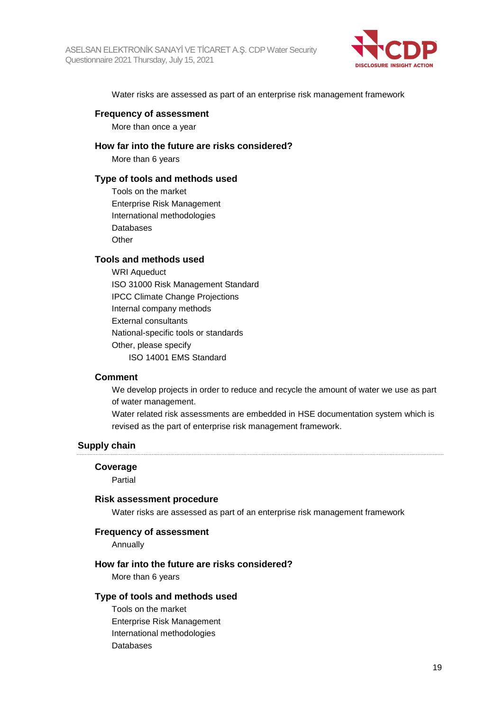

Water risks are assessed as part of an enterprise risk management framework

#### **Frequency of assessment**

More than once a year

#### **How far into the future are risks considered?**

More than 6 years

#### **Type of tools and methods used**

Tools on the market Enterprise Risk Management International methodologies Databases **Other** 

#### **Tools and methods used**

WRI Aqueduct ISO 31000 Risk Management Standard IPCC Climate Change Projections Internal company methods External consultants National-specific tools or standards Other, please specify ISO 14001 EMS Standard

#### **Comment**

We develop projects in order to reduce and recycle the amount of water we use as part of water management.

Water related risk assessments are embedded in HSE documentation system which is revised as the part of enterprise risk management framework.

#### **Supply chain**

#### **Coverage**

Partial

#### **Risk assessment procedure**

Water risks are assessed as part of an enterprise risk management framework

#### **Frequency of assessment**

Annually

#### **How far into the future are risks considered?**

More than 6 years

#### **Type of tools and methods used**

Tools on the market Enterprise Risk Management International methodologies Databases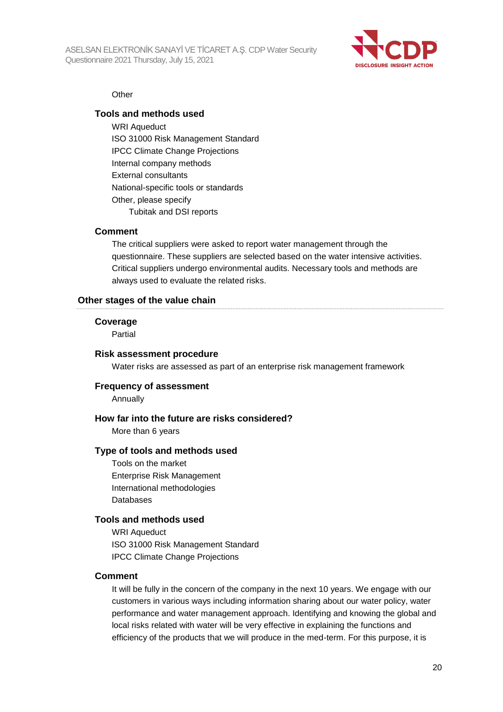

#### **Other**

#### **Tools and methods used**

WRI Aqueduct ISO 31000 Risk Management Standard IPCC Climate Change Projections Internal company methods External consultants National-specific tools or standards Other, please specify Tubitak and DSI reports

#### **Comment**

The critical suppliers were asked to report water management through the questionnaire. These suppliers are selected based on the water intensive activities. Critical suppliers undergo environmental audits. Necessary tools and methods are always used to evaluate the related risks.

#### **Other stages of the value chain**

#### **Coverage**

Partial

#### **Risk assessment procedure**

Water risks are assessed as part of an enterprise risk management framework

#### **Frequency of assessment**

Annually

#### **How far into the future are risks considered?**

More than 6 years

#### **Type of tools and methods used**

Tools on the market Enterprise Risk Management International methodologies Databases

#### **Tools and methods used**

WRI Aqueduct ISO 31000 Risk Management Standard IPCC Climate Change Projections

#### **Comment**

It will be fully in the concern of the company in the next 10 years. We engage with our customers in various ways including information sharing about our water policy, water performance and water management approach. Identifying and knowing the global and local risks related with water will be very effective in explaining the functions and efficiency of the products that we will produce in the med-term. For this purpose, it is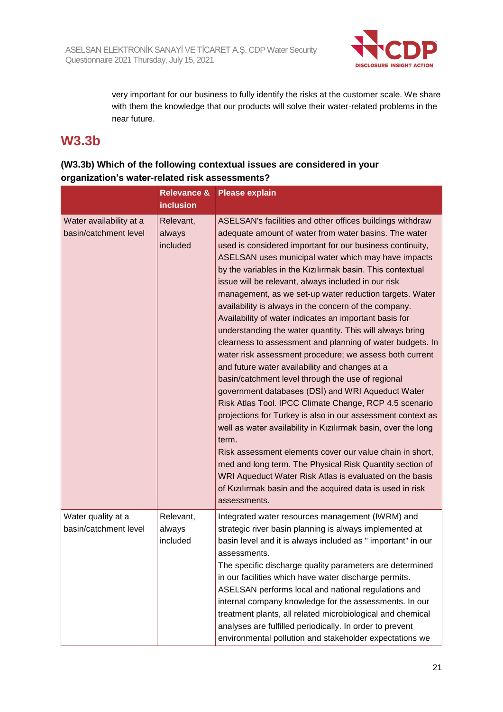

very important for our business to fully identify the risks at the customer scale. We share with them the knowledge that our products will solve their water-related problems in the near future.

### **W3.3b**

### **(W3.3b) Which of the following contextual issues are considered in your organization's water-related risk assessments?**

|                                                  | <b>Relevance &amp;</b><br><b>inclusion</b> | <b>Please explain</b>                                                                                                                                                                                                                                                                                                                                                                                                                                                                                                                                                                                                                                                                                                                                                                                                                                                                                                                                                                                                                                                                                                                                                                                                                                                                                                                                       |
|--------------------------------------------------|--------------------------------------------|-------------------------------------------------------------------------------------------------------------------------------------------------------------------------------------------------------------------------------------------------------------------------------------------------------------------------------------------------------------------------------------------------------------------------------------------------------------------------------------------------------------------------------------------------------------------------------------------------------------------------------------------------------------------------------------------------------------------------------------------------------------------------------------------------------------------------------------------------------------------------------------------------------------------------------------------------------------------------------------------------------------------------------------------------------------------------------------------------------------------------------------------------------------------------------------------------------------------------------------------------------------------------------------------------------------------------------------------------------------|
| Water availability at a<br>basin/catchment level | Relevant,<br>always<br>included            | ASELSAN's facilities and other offices buildings withdraw<br>adequate amount of water from water basins. The water<br>used is considered important for our business continuity,<br>ASELSAN uses municipal water which may have impacts<br>by the variables in the Kizilirmak basin. This contextual<br>issue will be relevant, always included in our risk<br>management, as we set-up water reduction targets. Water<br>availability is always in the concern of the company.<br>Availability of water indicates an important basis for<br>understanding the water quantity. This will always bring<br>clearness to assessment and planning of water budgets. In<br>water risk assessment procedure; we assess both current<br>and future water availability and changes at a<br>basin/catchment level through the use of regional<br>government databases (DSI) and WRI Aqueduct Water<br>Risk Atlas Tool. IPCC Climate Change, RCP 4.5 scenario<br>projections for Turkey is also in our assessment context as<br>well as water availability in Kızılırmak basin, over the long<br>term.<br>Risk assessment elements cover our value chain in short,<br>med and long term. The Physical Risk Quantity section of<br>WRI Aqueduct Water Risk Atlas is evaluated on the basis<br>of Kizilirmak basin and the acquired data is used in risk<br>assessments. |
| Water quality at a<br>basin/catchment level      | Relevant,<br>always<br>included            | Integrated water resources management (IWRM) and<br>strategic river basin planning is always implemented at<br>basin level and it is always included as " important" in our<br>assessments.<br>The specific discharge quality parameters are determined<br>in our facilities which have water discharge permits.<br>ASELSAN performs local and national regulations and<br>internal company knowledge for the assessments. In our<br>treatment plants, all related microbiological and chemical<br>analyses are fulfilled periodically. In order to prevent<br>environmental pollution and stakeholder expectations we                                                                                                                                                                                                                                                                                                                                                                                                                                                                                                                                                                                                                                                                                                                                      |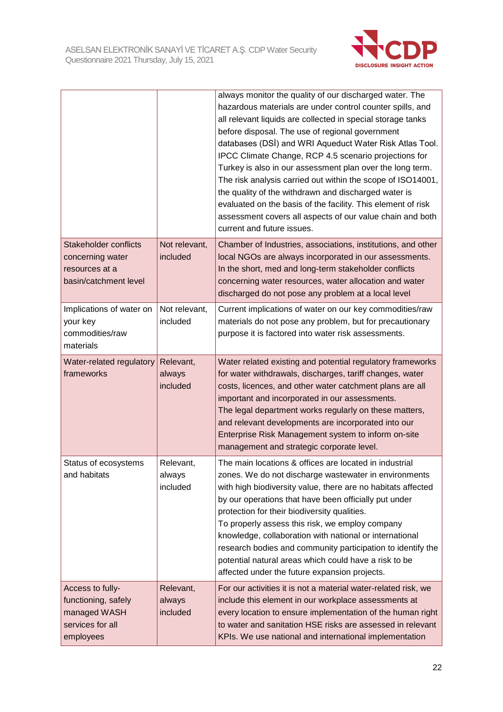

|                                                                                          |                                 | always monitor the quality of our discharged water. The<br>hazardous materials are under control counter spills, and<br>all relevant liquids are collected in special storage tanks<br>before disposal. The use of regional government<br>databases (DSI) and WRI Aqueduct Water Risk Atlas Tool.<br>IPCC Climate Change, RCP 4.5 scenario projections for<br>Turkey is also in our assessment plan over the long term.<br>The risk analysis carried out within the scope of ISO14001,<br>the quality of the withdrawn and discharged water is<br>evaluated on the basis of the facility. This element of risk<br>assessment covers all aspects of our value chain and both<br>current and future issues. |
|------------------------------------------------------------------------------------------|---------------------------------|-----------------------------------------------------------------------------------------------------------------------------------------------------------------------------------------------------------------------------------------------------------------------------------------------------------------------------------------------------------------------------------------------------------------------------------------------------------------------------------------------------------------------------------------------------------------------------------------------------------------------------------------------------------------------------------------------------------|
| Stakeholder conflicts<br>concerning water<br>resources at a<br>basin/catchment level     | Not relevant,<br>included       | Chamber of Industries, associations, institutions, and other<br>local NGOs are always incorporated in our assessments.<br>In the short, med and long-term stakeholder conflicts<br>concerning water resources, water allocation and water<br>discharged do not pose any problem at a local level                                                                                                                                                                                                                                                                                                                                                                                                          |
| Implications of water on<br>your key<br>commodities/raw<br>materials                     | Not relevant,<br>included       | Current implications of water on our key commodities/raw<br>materials do not pose any problem, but for precautionary<br>purpose it is factored into water risk assessments.                                                                                                                                                                                                                                                                                                                                                                                                                                                                                                                               |
| Water-related regulatory<br>frameworks                                                   | Relevant,<br>always<br>included | Water related existing and potential regulatory frameworks<br>for water withdrawals, discharges, tariff changes, water<br>costs, licences, and other water catchment plans are all<br>important and incorporated in our assessments.<br>The legal department works regularly on these matters,<br>and relevant developments are incorporated into our<br>Enterprise Risk Management system to inform on-site<br>management and strategic corporate level.                                                                                                                                                                                                                                                 |
| Status of ecosystems<br>and habitats                                                     | Relevant.<br>always<br>included | The main locations & offices are located in industrial<br>zones. We do not discharge wastewater in environments<br>with high biodiversity value, there are no habitats affected<br>by our operations that have been officially put under<br>protection for their biodiversity qualities.<br>To properly assess this risk, we employ company<br>knowledge, collaboration with national or international<br>research bodies and community participation to identify the<br>potential natural areas which could have a risk to be<br>affected under the future expansion projects.                                                                                                                           |
| Access to fully-<br>functioning, safely<br>managed WASH<br>services for all<br>employees | Relevant,<br>always<br>included | For our activities it is not a material water-related risk, we<br>include this element in our workplace assessments at<br>every location to ensure implementation of the human right<br>to water and sanitation HSE risks are assessed in relevant<br>KPIs. We use national and international implementation                                                                                                                                                                                                                                                                                                                                                                                              |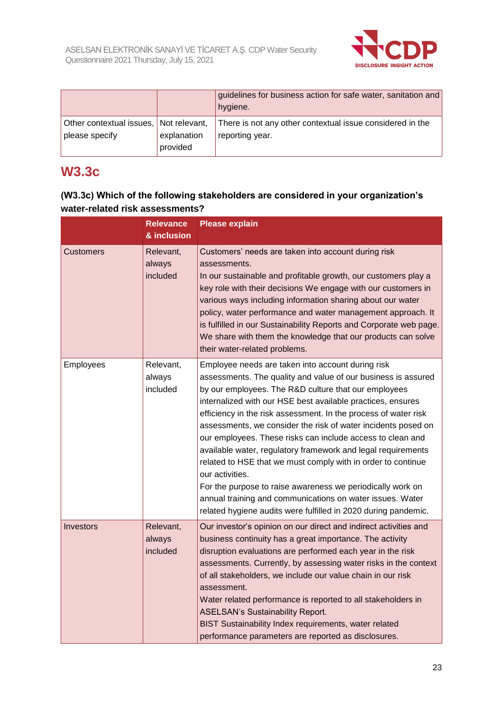

|                                        |             | guidelines for business action for safe water, sanitation and<br>hygiene. |
|----------------------------------------|-------------|---------------------------------------------------------------------------|
| Other contextual issues, Not relevant, | explanation | There is not any other contextual issue considered in the                 |
| please specify                         | provided    | reporting year.                                                           |

### **W3.3c**

#### **(W3.3c) Which of the following stakeholders are considered in your organization's water-related risk assessments?**

|                  | <b>Relevance</b><br>& inclusion | <b>Please explain</b>                                                                                                                                                                                                                                                                                                                                                                                                                                                                                                                                                                                                                                                                                                                                                                       |
|------------------|---------------------------------|---------------------------------------------------------------------------------------------------------------------------------------------------------------------------------------------------------------------------------------------------------------------------------------------------------------------------------------------------------------------------------------------------------------------------------------------------------------------------------------------------------------------------------------------------------------------------------------------------------------------------------------------------------------------------------------------------------------------------------------------------------------------------------------------|
| <b>Customers</b> | Relevant,<br>always<br>included | Customers' needs are taken into account during risk<br>assessments.<br>In our sustainable and profitable growth, our customers play a<br>key role with their decisions We engage with our customers in<br>various ways including information sharing about our water<br>policy, water performance and water management approach. It<br>is fulfilled in our Sustainability Reports and Corporate web page.<br>We share with them the knowledge that our products can solve<br>their water-related problems.                                                                                                                                                                                                                                                                                  |
| Employees        | Relevant,<br>always<br>included | Employee needs are taken into account during risk<br>assessments. The quality and value of our business is assured<br>by our employees. The R&D culture that our employees<br>internalized with our HSE best available practices, ensures<br>efficiency in the risk assessment. In the process of water risk<br>assessments, we consider the risk of water incidents posed on<br>our employees. These risks can include access to clean and<br>available water, regulatory framework and legal requirements<br>related to HSE that we must comply with in order to continue<br>our activities.<br>For the purpose to raise awareness we periodically work on<br>annual training and communications on water issues. Water<br>related hygiene audits were fulfilled in 2020 during pandemic. |
| Investors        | Relevant,<br>always<br>included | Our investor's opinion on our direct and indirect activities and<br>business continuity has a great importance. The activity<br>disruption evaluations are performed each year in the risk<br>assessments. Currently, by assessing water risks in the context<br>of all stakeholders, we include our value chain in our risk<br>assessment.<br>Water related performance is reported to all stakeholders in<br><b>ASELSAN's Sustainability Report.</b><br>BIST Sustainability Index requirements, water related<br>performance parameters are reported as disclosures.                                                                                                                                                                                                                      |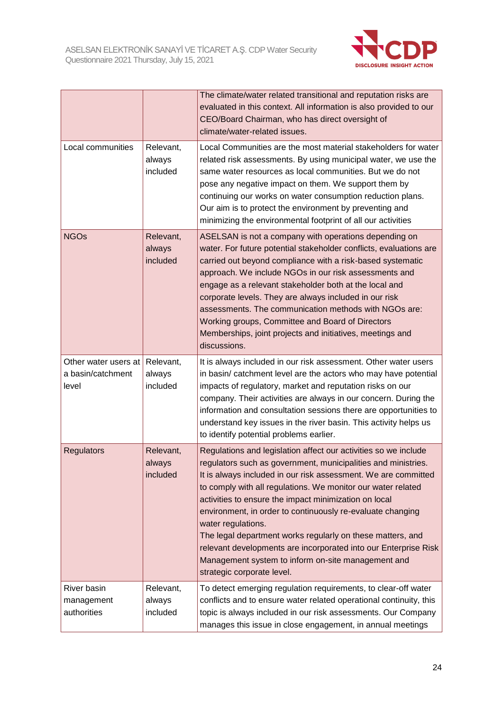

|                                                    |                                 | The climate/water related transitional and reputation risks are<br>evaluated in this context. All information is also provided to our<br>CEO/Board Chairman, who has direct oversight of<br>climate/water-related issues.                                                                                                                                                                                                                                                                                                                                                                                                            |
|----------------------------------------------------|---------------------------------|--------------------------------------------------------------------------------------------------------------------------------------------------------------------------------------------------------------------------------------------------------------------------------------------------------------------------------------------------------------------------------------------------------------------------------------------------------------------------------------------------------------------------------------------------------------------------------------------------------------------------------------|
| Local communities                                  | Relevant,<br>always<br>included | Local Communities are the most material stakeholders for water<br>related risk assessments. By using municipal water, we use the<br>same water resources as local communities. But we do not<br>pose any negative impact on them. We support them by<br>continuing our works on water consumption reduction plans.<br>Our aim is to protect the environment by preventing and<br>minimizing the environmental footprint of all our activities                                                                                                                                                                                        |
| <b>NGOs</b>                                        | Relevant,<br>always<br>included | ASELSAN is not a company with operations depending on<br>water. For future potential stakeholder conflicts, evaluations are<br>carried out beyond compliance with a risk-based systematic<br>approach. We include NGOs in our risk assessments and<br>engage as a relevant stakeholder both at the local and<br>corporate levels. They are always included in our risk<br>assessments. The communication methods with NGOs are:<br>Working groups, Committee and Board of Directors<br>Memberships, joint projects and initiatives, meetings and<br>discussions.                                                                     |
| Other water users at<br>a basin/catchment<br>level | Relevant,<br>always<br>included | It is always included in our risk assessment. Other water users<br>in basin/ catchment level are the actors who may have potential<br>impacts of regulatory, market and reputation risks on our<br>company. Their activities are always in our concern. During the<br>information and consultation sessions there are opportunities to<br>understand key issues in the river basin. This activity helps us<br>to identify potential problems earlier.                                                                                                                                                                                |
| Regulators                                         | Relevant,<br>always<br>included | Regulations and legislation affect our activities so we include<br>regulators such as government, municipalities and ministries.<br>It is always included in our risk assessment. We are committed<br>to comply with all regulations. We monitor our water related<br>activities to ensure the impact minimization on local<br>environment, in order to continuously re-evaluate changing<br>water regulations.<br>The legal department works regularly on these matters, and<br>relevant developments are incorporated into our Enterprise Risk<br>Management system to inform on-site management and<br>strategic corporate level. |
| River basin<br>management<br>authorities           | Relevant,<br>always<br>included | To detect emerging regulation requirements, to clear-off water<br>conflicts and to ensure water related operational continuity, this<br>topic is always included in our risk assessments. Our Company<br>manages this issue in close engagement, in annual meetings                                                                                                                                                                                                                                                                                                                                                                  |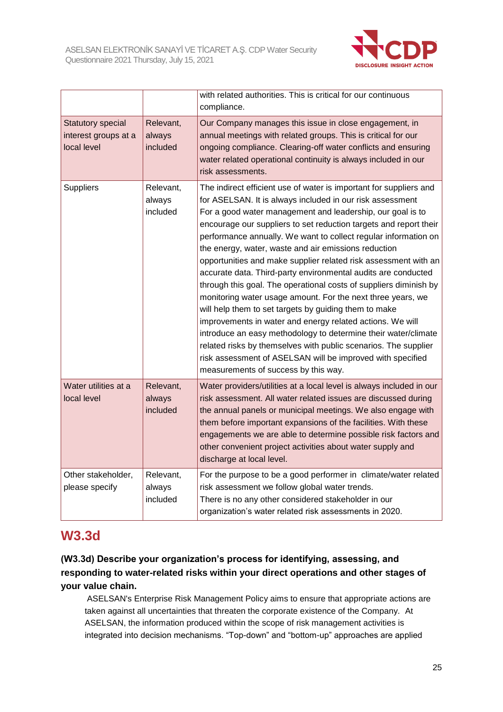

|                                                          |                                 | with related authorities. This is critical for our continuous<br>compliance.                                                                                                                                                                                                                                                                                                                                                                                                                                                                                                                                                                                                                                                                                                                                                                                                                                                                                                                                                           |
|----------------------------------------------------------|---------------------------------|----------------------------------------------------------------------------------------------------------------------------------------------------------------------------------------------------------------------------------------------------------------------------------------------------------------------------------------------------------------------------------------------------------------------------------------------------------------------------------------------------------------------------------------------------------------------------------------------------------------------------------------------------------------------------------------------------------------------------------------------------------------------------------------------------------------------------------------------------------------------------------------------------------------------------------------------------------------------------------------------------------------------------------------|
| Statutory special<br>interest groups at a<br>local level | Relevant,<br>always<br>included | Our Company manages this issue in close engagement, in<br>annual meetings with related groups. This is critical for our<br>ongoing compliance. Clearing-off water conflicts and ensuring<br>water related operational continuity is always included in our<br>risk assessments.                                                                                                                                                                                                                                                                                                                                                                                                                                                                                                                                                                                                                                                                                                                                                        |
| <b>Suppliers</b>                                         | Relevant,<br>always<br>included | The indirect efficient use of water is important for suppliers and<br>for ASELSAN. It is always included in our risk assessment<br>For a good water management and leadership, our goal is to<br>encourage our suppliers to set reduction targets and report their<br>performance annually. We want to collect regular information on<br>the energy, water, waste and air emissions reduction<br>opportunities and make supplier related risk assessment with an<br>accurate data. Third-party environmental audits are conducted<br>through this goal. The operational costs of suppliers diminish by<br>monitoring water usage amount. For the next three years, we<br>will help them to set targets by guiding them to make<br>improvements in water and energy related actions. We will<br>introduce an easy methodology to determine their water/climate<br>related risks by themselves with public scenarios. The supplier<br>risk assessment of ASELSAN will be improved with specified<br>measurements of success by this way. |
| Water utilities at a<br>local level                      | Relevant,<br>always<br>included | Water providers/utilities at a local level is always included in our<br>risk assessment. All water related issues are discussed during<br>the annual panels or municipal meetings. We also engage with<br>them before important expansions of the facilities. With these<br>engagements we are able to determine possible risk factors and<br>other convenient project activities about water supply and<br>discharge at local level.                                                                                                                                                                                                                                                                                                                                                                                                                                                                                                                                                                                                  |
| Other stakeholder,<br>please specify                     | Relevant,<br>always<br>included | For the purpose to be a good performer in climate/water related<br>risk assessment we follow global water trends.<br>There is no any other considered stakeholder in our<br>organization's water related risk assessments in 2020.                                                                                                                                                                                                                                                                                                                                                                                                                                                                                                                                                                                                                                                                                                                                                                                                     |

### **W3.3d**

#### **(W3.3d) Describe your organization's process for identifying, assessing, and responding to water-related risks within your direct operations and other stages of your value chain.**

ASELSAN's Enterprise Risk Management Policy aims to ensure that appropriate actions are taken against all uncertainties that threaten the corporate existence of the Company. At ASELSAN, the information produced within the scope of risk management activities is integrated into decision mechanisms. "Top-down" and "bottom-up" approaches are applied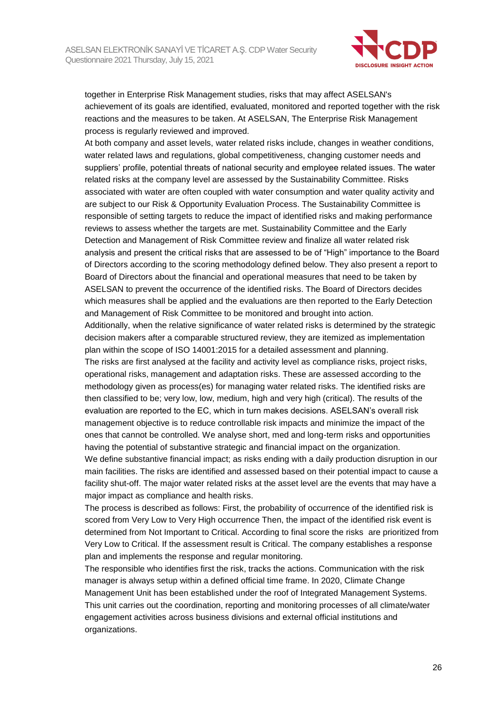

together in Enterprise Risk Management studies, risks that may affect ASELSAN's achievement of its goals are identified, evaluated, monitored and reported together with the risk reactions and the measures to be taken. At ASELSAN, The Enterprise Risk Management process is regularly reviewed and improved.

At both company and asset levels, water related risks include, changes in weather conditions, water related laws and regulations, global competitiveness, changing customer needs and suppliers' profile, potential threats of national security and employee related issues. The water related risks at the company level are assessed by the Sustainability Committee. Risks associated with water are often coupled with water consumption and water quality activity and are subject to our Risk & Opportunity Evaluation Process. The Sustainability Committee is responsible of setting targets to reduce the impact of identified risks and making performance reviews to assess whether the targets are met. Sustainability Committee and the Early Detection and Management of Risk Committee review and finalize all water related risk analysis and present the critical risks that are assessed to be of "High" importance to the Board of Directors according to the scoring methodology defined below. They also present a report to Board of Directors about the financial and operational measures that need to be taken by ASELSAN to prevent the occurrence of the identified risks. The Board of Directors decides which measures shall be applied and the evaluations are then reported to the Early Detection and Management of Risk Committee to be monitored and brought into action.

Additionally, when the relative significance of water related risks is determined by the strategic decision makers after a comparable structured review, they are itemized as implementation plan within the scope of ISO 14001:2015 for a detailed assessment and planning.

The risks are first analysed at the facility and activity level as compliance risks, project risks, operational risks, management and adaptation risks. These are assessed according to the methodology given as process(es) for managing water related risks. The identified risks are then classified to be; very low, low, medium, high and very high (critical). The results of the evaluation are reported to the EC, which in turn makes decisions. ASELSAN's overall risk management objective is to reduce controllable risk impacts and minimize the impact of the ones that cannot be controlled. We analyse short, med and long-term risks and opportunities having the potential of substantive strategic and financial impact on the organization.

We define substantive financial impact; as risks ending with a daily production disruption in our main facilities. The risks are identified and assessed based on their potential impact to cause a facility shut-off. The major water related risks at the asset level are the events that may have a major impact as compliance and health risks.

The process is described as follows: First, the probability of occurrence of the identified risk is scored from Very Low to Very High occurrence Then, the impact of the identified risk event is determined from Not Important to Critical. According to final score the risks are prioritized from Very Low to Critical. If the assessment result is Critical. The company establishes a response plan and implements the response and regular monitoring.

The responsible who identifies first the risk, tracks the actions. Communication with the risk manager is always setup within a defined official time frame. In 2020, Climate Change Management Unit has been established under the roof of Integrated Management Systems. This unit carries out the coordination, reporting and monitoring processes of all climate/water engagement activities across business divisions and external official institutions and organizations.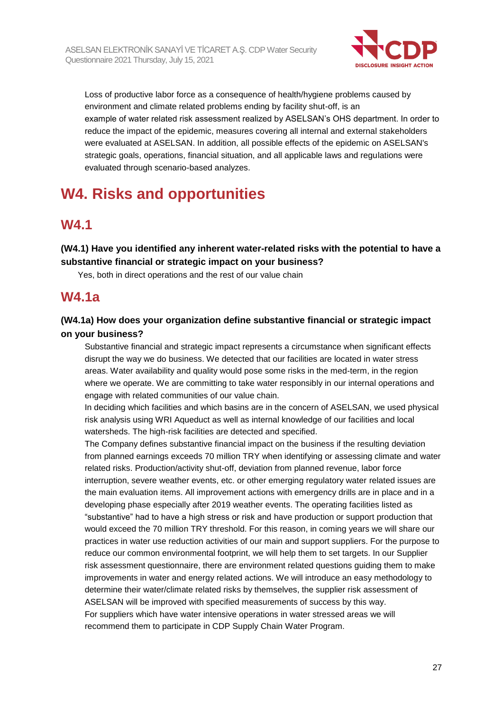

Loss of productive labor force as a consequence of health/hygiene problems caused by environment and climate related problems ending by facility shut-off, is an example of water related risk assessment realized by ASELSAN's OHS department. In order to reduce the impact of the epidemic, measures covering all internal and external stakeholders were evaluated at ASELSAN. In addition, all possible effects of the epidemic on ASELSAN's strategic goals, operations, financial situation, and all applicable laws and regulations were evaluated through scenario-based analyzes.

# **W4. Risks and opportunities**

### **W4.1**

**(W4.1) Have you identified any inherent water-related risks with the potential to have a substantive financial or strategic impact on your business?**

Yes, both in direct operations and the rest of our value chain

### **W4.1a**

#### **(W4.1a) How does your organization define substantive financial or strategic impact on your business?**

Substantive financial and strategic impact represents a circumstance when significant effects disrupt the way we do business. We detected that our facilities are located in water stress areas. Water availability and quality would pose some risks in the med-term, in the region where we operate. We are committing to take water responsibly in our internal operations and engage with related communities of our value chain.

In deciding which facilities and which basins are in the concern of ASELSAN, we used physical risk analysis using WRI Aqueduct as well as internal knowledge of our facilities and local watersheds. The high-risk facilities are detected and specified.

The Company defines substantive financial impact on the business if the resulting deviation from planned earnings exceeds 70 million TRY when identifying or assessing climate and water related risks. Production/activity shut-off, deviation from planned revenue, labor force interruption, severe weather events, etc. or other emerging regulatory water related issues are the main evaluation items. All improvement actions with emergency drills are in place and in a developing phase especially after 2019 weather events. The operating facilities listed as "substantive" had to have a high stress or risk and have production or support production that would exceed the 70 million TRY threshold. For this reason, in coming years we will share our practices in water use reduction activities of our main and support suppliers. For the purpose to reduce our common environmental footprint, we will help them to set targets. In our Supplier risk assessment questionnaire, there are environment related questions guiding them to make improvements in water and energy related actions. We will introduce an easy methodology to determine their water/climate related risks by themselves, the supplier risk assessment of ASELSAN will be improved with specified measurements of success by this way. For suppliers which have water intensive operations in water stressed areas we will recommend them to participate in CDP Supply Chain Water Program.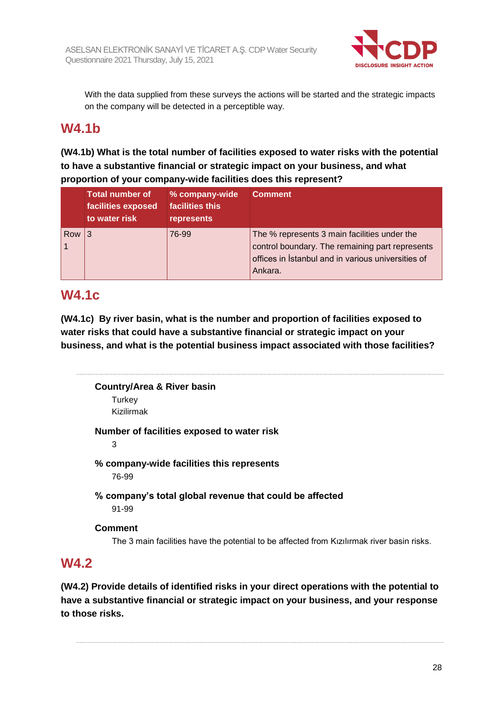

With the data supplied from these surveys the actions will be started and the strategic impacts on the company will be detected in a perceptible way.

### **W4.1b**

#### **(W4.1b) What is the total number of facilities exposed to water risks with the potential to have a substantive financial or strategic impact on your business, and what proportion of your company-wide facilities does this represent?**

|     | <b>Total number of</b><br>facilities exposed<br>to water risk | % company-wide<br>facilities this<br>represents | <b>Comment</b>                                                                                                                                                   |
|-----|---------------------------------------------------------------|-------------------------------------------------|------------------------------------------------------------------------------------------------------------------------------------------------------------------|
| Row |                                                               | 76-99                                           | The % represents 3 main facilities under the<br>control boundary. The remaining part represents<br>offices in Istanbul and in various universities of<br>Ankara. |

### **W4.1c**

**(W4.1c) By river basin, what is the number and proportion of facilities exposed to water risks that could have a substantive financial or strategic impact on your business, and what is the potential business impact associated with those facilities?**

**Country/Area & River basin Turkey** Kizilirmak **Number of facilities exposed to water risk** 3 **% company-wide facilities this represents** 76-99 **% company's total global revenue that could be affected** 91-99 **Comment** The 3 main facilities have the potential to be affected from Kızılırmak river basin risks. **W4.2**

**(W4.2) Provide details of identified risks in your direct operations with the potential to have a substantive financial or strategic impact on your business, and your response to those risks.**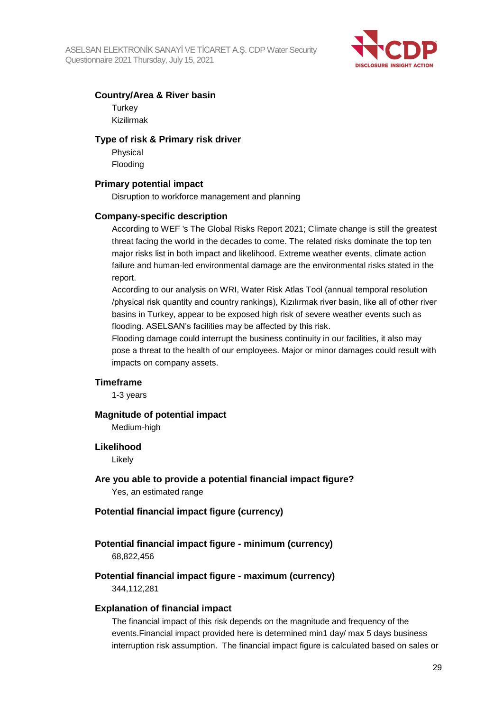

#### **Country/Area & River basin**

**Turkey** Kizilirmak

#### **Type of risk & Primary risk driver**

Physical Flooding

#### **Primary potential impact**

Disruption to workforce management and planning

#### **Company-specific description**

According to WEF 's The Global Risks Report 2021; Climate change is still the greatest threat facing the world in the decades to come. The related risks dominate the top ten major risks list in both impact and likelihood. Extreme weather events, climate action failure and human-led environmental damage are the environmental risks stated in the report.

According to our analysis on WRI, Water Risk Atlas Tool (annual temporal resolution /physical risk quantity and country rankings), Kızılırmak river basin, like all of other river basins in Turkey, appear to be exposed high risk of severe weather events such as flooding. ASELSAN's facilities may be affected by this risk.

Flooding damage could interrupt the business continuity in our facilities, it also may pose a threat to the health of our employees. Major or minor damages could result with impacts on company assets.

#### **Timeframe**

1-3 years

#### **Magnitude of potential impact**

Medium-high

#### **Likelihood**

Likely

#### **Are you able to provide a potential financial impact figure?** Yes, an estimated range

### **Potential financial impact figure (currency)**

#### **Potential financial impact figure - minimum (currency)**

68,822,456

# **Potential financial impact figure - maximum (currency)**

344,112,281

#### **Explanation of financial impact**

The financial impact of this risk depends on the magnitude and frequency of the events.Financial impact provided here is determined min1 day/ max 5 days business interruption risk assumption. The financial impact figure is calculated based on sales or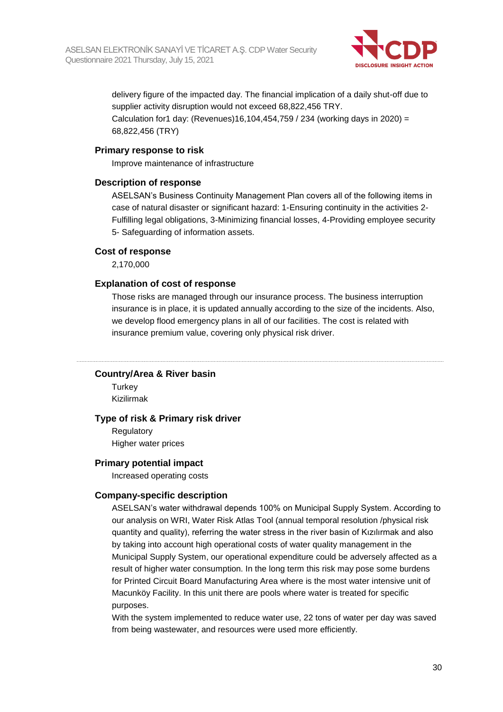

delivery figure of the impacted day. The financial implication of a daily shut-off due to supplier activity disruption would not exceed 68,822,456 TRY. Calculation for1 day: (Revenues)16,104,454,759 / 234 (working days in 2020) =

68,822,456 (TRY)

#### **Primary response to risk**

Improve maintenance of infrastructure

#### **Description of response**

ASELSAN's Business Continuity Management Plan covers all of the following items in case of natural disaster or significant hazard: 1-Ensuring continuity in the activities 2- Fulfilling legal obligations, 3-Minimizing financial losses, 4-Providing employee security 5- Safeguarding of information assets.

#### **Cost of response**

2,170,000

#### **Explanation of cost of response**

Those risks are managed through our insurance process. The business interruption insurance is in place, it is updated annually according to the size of the incidents. Also, we develop flood emergency plans in all of our facilities. The cost is related with insurance premium value, covering only physical risk driver.

#### **Country/Area & River basin**

**Turkey** Kizilirmak

#### **Type of risk & Primary risk driver**

**Regulatory** Higher water prices

#### **Primary potential impact**

Increased operating costs

#### **Company-specific description**

ASELSAN's water withdrawal depends 100% on Municipal Supply System. According to our analysis on WRI, Water Risk Atlas Tool (annual temporal resolution /physical risk quantity and quality), referring the water stress in the river basin of Kızılırmak and also by taking into account high operational costs of water quality management in the Municipal Supply System, our operational expenditure could be adversely affected as a result of higher water consumption. In the long term this risk may pose some burdens for Printed Circuit Board Manufacturing Area where is the most water intensive unit of Macunköy Facility. In this unit there are pools where water is treated for specific purposes.

With the system implemented to reduce water use, 22 tons of water per day was saved from being wastewater, and resources were used more efficiently.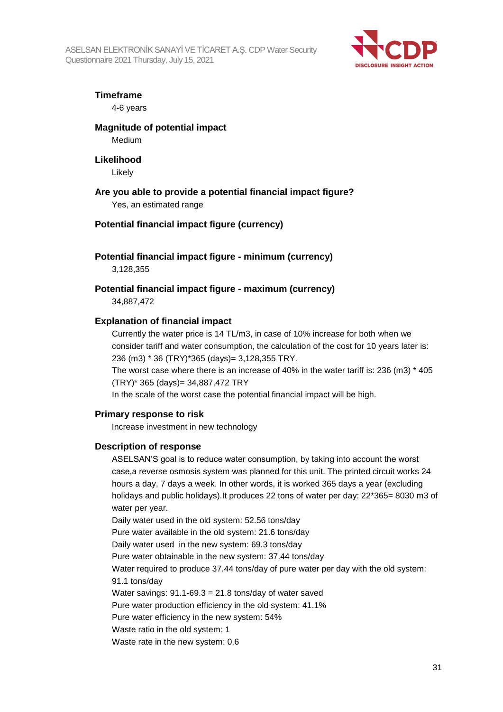ASELSAN ELEKTRONİK SANAYİ VE TİCARET A.Ş. CDP Water Security Questionnaire 2021 Thursday, July 15, 2021



#### **Timeframe**

4-6 years

#### **Magnitude of potential impact**

Medium

#### **Likelihood**

Likely

#### **Are you able to provide a potential financial impact figure?**

Yes, an estimated range

#### **Potential financial impact figure (currency)**

#### **Potential financial impact figure - minimum (currency)**

3,128,355

#### **Potential financial impact figure - maximum (currency)** 34,887,472

#### **Explanation of financial impact**

Currently the water price is 14 TL/m3, in case of 10% increase for both when we consider tariff and water consumption, the calculation of the cost for 10 years later is: 236 (m3) \* 36 (TRY)\*365 (days)= 3,128,355 TRY.

The worst case where there is an increase of 40% in the water tariff is: 236 (m3) \* 405 (TRY)\* 365 (days)= 34,887,472 TRY

In the scale of the worst case the potential financial impact will be high.

#### **Primary response to risk**

Increase investment in new technology

#### **Description of response**

ASELSAN'S goal is to reduce water consumption, by taking into account the worst case,a reverse osmosis system was planned for this unit. The printed circuit works 24 hours a day, 7 days a week. In other words, it is worked 365 days a year (excluding holidays and public holidays).It produces 22 tons of water per day: 22\*365= 8030 m3 of water per year.

Daily water used in the old system: 52.56 tons/day

Pure water available in the old system: 21.6 tons/day

Daily water used in the new system: 69.3 tons/day

Pure water obtainable in the new system: 37.44 tons/day

Water required to produce 37.44 tons/day of pure water per day with the old system: 91.1 tons/day

Water savings:  $91.1 - 69.3 = 21.8$  tons/day of water saved

Pure water production efficiency in the old system: 41.1%

Pure water efficiency in the new system: 54%

Waste ratio in the old system: 1

Waste rate in the new system: 0.6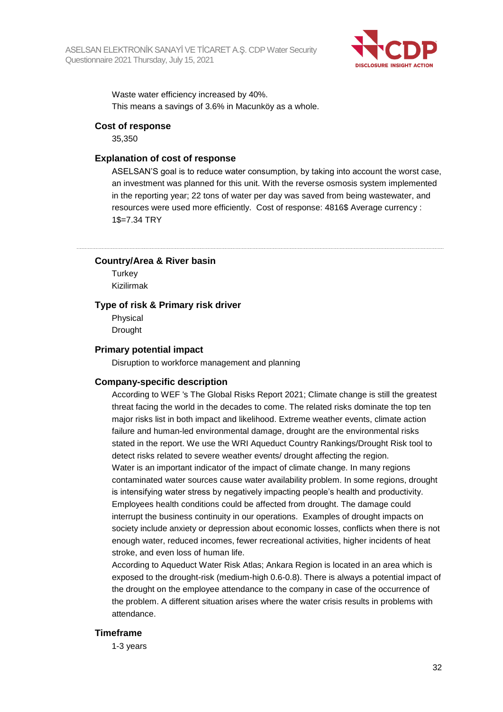

Waste water efficiency increased by 40%. This means a savings of 3.6% in Macunköy as a whole.

#### **Cost of response**

35,350

#### **Explanation of cost of response**

ASELSAN'S goal is to reduce water consumption, by taking into account the worst case, an investment was planned for this unit. With the reverse osmosis system implemented in the reporting year; 22 tons of water per day was saved from being wastewater, and resources were used more efficiently. Cost of response: 4816\$ Average currency : 1\$=7.34 TRY

**Country/Area & River basin**

**Turkey** Kizilirmak

#### **Type of risk & Primary risk driver**

Physical Drought

#### **Primary potential impact**

Disruption to workforce management and planning

#### **Company-specific description**

According to WEF 's The Global Risks Report 2021; Climate change is still the greatest threat facing the world in the decades to come. The related risks dominate the top ten major risks list in both impact and likelihood. Extreme weather events, climate action failure and human-led environmental damage, drought are the environmental risks stated in the report. We use the WRI Aqueduct Country Rankings/Drought Risk tool to detect risks related to severe weather events/ drought affecting the region. Water is an important indicator of the impact of climate change. In many regions contaminated water sources cause water availability problem. In some regions, drought is intensifying water stress by negatively impacting people's health and productivity. Employees health conditions could be affected from drought. The damage could interrupt the business continuity in our operations. Examples of drought impacts on society include anxiety or depression about economic losses, conflicts when there is not enough water, reduced incomes, fewer recreational activities, higher incidents of heat stroke, and even loss of human life.

According to Aqueduct Water Risk Atlas; Ankara Region is located in an area which is exposed to the drought-risk (medium-high 0.6-0.8). There is always a potential impact of the drought on the employee attendance to the company in case of the occurrence of the problem. A different situation arises where the water crisis results in problems with attendance.

#### **Timeframe**

1-3 years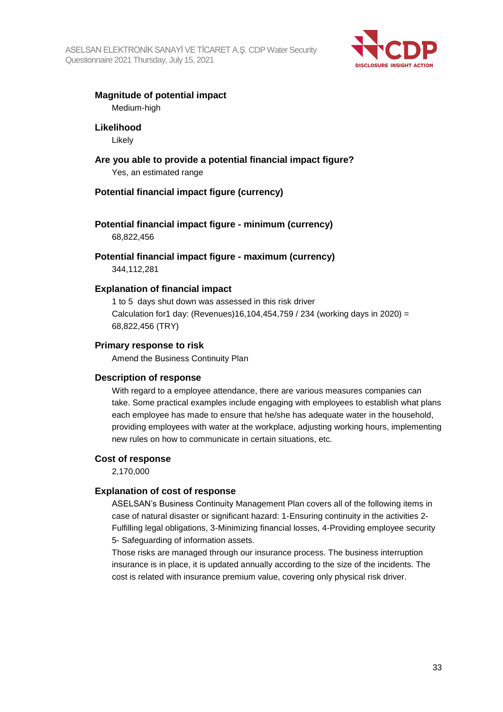

#### **Magnitude of potential impact**

Medium-high

#### **Likelihood**

Likely

**Are you able to provide a potential financial impact figure?** Yes, an estimated range

#### **Potential financial impact figure (currency)**

### **Potential financial impact figure - minimum (currency)**

68,822,456

**Potential financial impact figure - maximum (currency)** 344,112,281

#### **Explanation of financial impact**

1 to 5 days shut down was assessed in this risk driver Calculation for1 day: (Revenues)16,104,454,759 / 234 (working days in 2020) = 68,822,456 (TRY)

#### **Primary response to risk**

Amend the Business Continuity Plan

#### **Description of response**

With regard to a employee attendance, there are various measures companies can take. Some practical examples include engaging with employees to establish what plans each employee has made to ensure that he/she has adequate water in the household, providing employees with water at the workplace, adjusting working hours, implementing new rules on how to communicate in certain situations, etc.

#### **Cost of response**

2,170,000

#### **Explanation of cost of response**

ASELSAN's Business Continuity Management Plan covers all of the following items in case of natural disaster or significant hazard: 1-Ensuring continuity in the activities 2- Fulfilling legal obligations, 3-Minimizing financial losses, 4-Providing employee security 5- Safeguarding of information assets.

Those risks are managed through our insurance process. The business interruption insurance is in place, it is updated annually according to the size of the incidents. The cost is related with insurance premium value, covering only physical risk driver.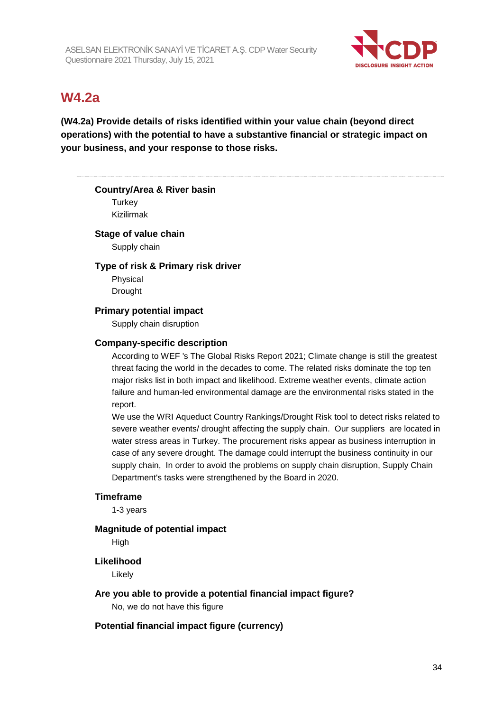

### **W4.2a**

**(W4.2a) Provide details of risks identified within your value chain (beyond direct operations) with the potential to have a substantive financial or strategic impact on your business, and your response to those risks.**

#### **Country/Area & River basin**

**Turkey** Kizilirmak

#### **Stage of value chain**

Supply chain

#### **Type of risk & Primary risk driver**

Physical Drought

#### **Primary potential impact**

Supply chain disruption

#### **Company-specific description**

According to WEF 's The Global Risks Report 2021; Climate change is still the greatest threat facing the world in the decades to come. The related risks dominate the top ten major risks list in both impact and likelihood. Extreme weather events, climate action failure and human-led environmental damage are the environmental risks stated in the report.

We use the WRI Aqueduct Country Rankings/Drought Risk tool to detect risks related to severe weather events/ drought affecting the supply chain. Our suppliers are located in water stress areas in Turkey. The procurement risks appear as business interruption in case of any severe drought. The damage could interrupt the business continuity in our supply chain, In order to avoid the problems on supply chain disruption, Supply Chain Department's tasks were strengthened by the Board in 2020.

#### **Timeframe**

1-3 years

#### **Magnitude of potential impact**

**High** 

#### **Likelihood**

Likely

#### **Are you able to provide a potential financial impact figure?**

No, we do not have this figure

#### **Potential financial impact figure (currency)**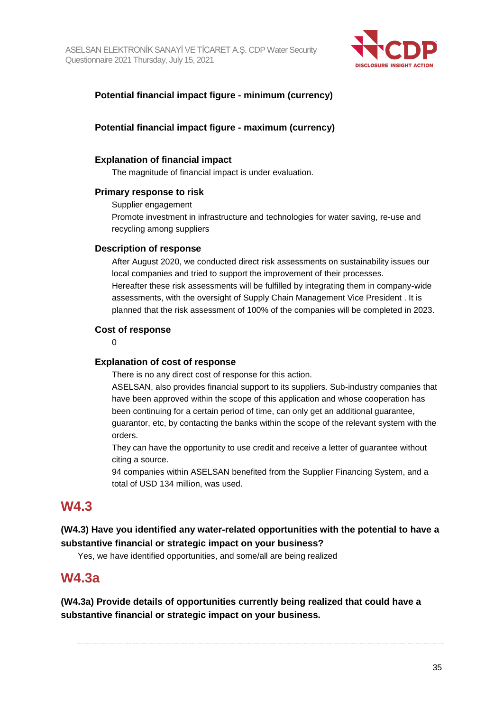

#### **Potential financial impact figure - minimum (currency)**

#### **Potential financial impact figure - maximum (currency)**

#### **Explanation of financial impact**

The magnitude of financial impact is under evaluation.

#### **Primary response to risk**

Supplier engagement Promote investment in infrastructure and technologies for water saving, re-use and recycling among suppliers

#### **Description of response**

After August 2020, we conducted direct risk assessments on sustainability issues our local companies and tried to support the improvement of their processes. Hereafter these risk assessments will be fulfilled by integrating them in company-wide assessments, with the oversight of Supply Chain Management Vice President . It is planned that the risk assessment of 100% of the companies will be completed in 2023.

#### **Cost of response**

 $\Omega$ 

#### **Explanation of cost of response**

There is no any direct cost of response for this action.

ASELSAN, also provides financial support to its suppliers. Sub-industry companies that have been approved within the scope of this application and whose cooperation has been continuing for a certain period of time, can only get an additional guarantee, guarantor, etc, by contacting the banks within the scope of the relevant system with the orders.

They can have the opportunity to use credit and receive a letter of guarantee without citing a source.

94 companies within ASELSAN benefited from the Supplier Financing System, and a total of USD 134 million, was used.

### **W4.3**

#### **(W4.3) Have you identified any water-related opportunities with the potential to have a substantive financial or strategic impact on your business?**

Yes, we have identified opportunities, and some/all are being realized

### **W4.3a**

**(W4.3a) Provide details of opportunities currently being realized that could have a substantive financial or strategic impact on your business.**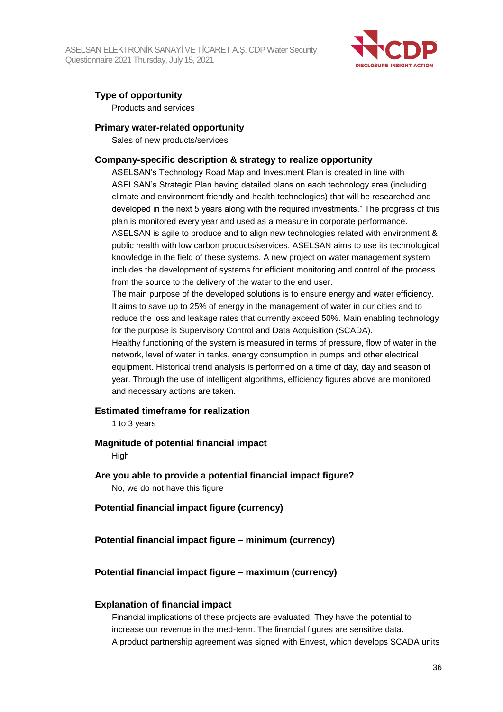

#### **Type of opportunity**

Products and services

#### **Primary water-related opportunity**

Sales of new products/services

#### **Company-specific description & strategy to realize opportunity**

ASELSAN's Technology Road Map and Investment Plan is created in line with ASELSAN's Strategic Plan having detailed plans on each technology area (including climate and environment friendly and health technologies) that will be researched and developed in the next 5 years along with the required investments." The progress of this plan is monitored every year and used as a measure in corporate performance. ASELSAN is agile to produce and to align new technologies related with environment & public health with low carbon products/services. ASELSAN aims to use its technological knowledge in the field of these systems. A new project on water management system includes the development of systems for efficient monitoring and control of the process from the source to the delivery of the water to the end user.

The main purpose of the developed solutions is to ensure energy and water efficiency. It aims to save up to 25% of energy in the management of water in our cities and to reduce the loss and leakage rates that currently exceed 50%. Main enabling technology for the purpose is Supervisory Control and Data Acquisition (SCADA).

Healthy functioning of the system is measured in terms of pressure, flow of water in the network, level of water in tanks, energy consumption in pumps and other electrical equipment. Historical trend analysis is performed on a time of day, day and season of year. Through the use of intelligent algorithms, efficiency figures above are monitored and necessary actions are taken.

#### **Estimated timeframe for realization**

1 to 3 years

#### **Magnitude of potential financial impact**

High

- **Are you able to provide a potential financial impact figure?** No, we do not have this figure
- **Potential financial impact figure (currency)**

#### **Potential financial impact figure – minimum (currency)**

#### **Potential financial impact figure – maximum (currency)**

#### **Explanation of financial impact**

Financial implications of these projects are evaluated. They have the potential to increase our revenue in the med-term. The financial figures are sensitive data. A product partnership agreement was signed with Envest, which develops SCADA units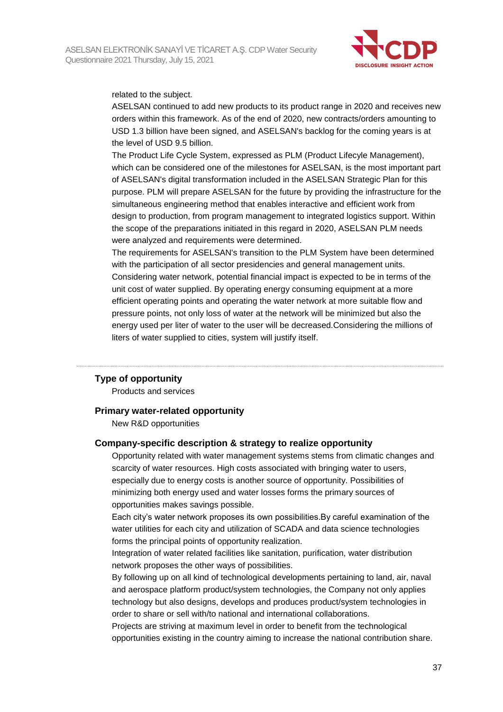

related to the subject.

ASELSAN continued to add new products to its product range in 2020 and receives new orders within this framework. As of the end of 2020, new contracts/orders amounting to USD 1.3 billion have been signed, and ASELSAN's backlog for the coming years is at the level of USD 9.5 billion.

The Product Life Cycle System, expressed as PLM (Product Lifecyle Management), which can be considered one of the milestones for ASELSAN, is the most important part of ASELSAN's digital transformation included in the ASELSAN Strategic Plan for this purpose. PLM will prepare ASELSAN for the future by providing the infrastructure for the simultaneous engineering method that enables interactive and efficient work from design to production, from program management to integrated logistics support. Within the scope of the preparations initiated in this regard in 2020, ASELSAN PLM needs were analyzed and requirements were determined.

The requirements for ASELSAN's transition to the PLM System have been determined with the participation of all sector presidencies and general management units. Considering water network, potential financial impact is expected to be in terms of the unit cost of water supplied. By operating energy consuming equipment at a more efficient operating points and operating the water network at more suitable flow and pressure points, not only loss of water at the network will be minimized but also the energy used per liter of water to the user will be decreased.Considering the millions of liters of water supplied to cities, system will justify itself.

#### **Type of opportunity**

Products and services

#### **Primary water-related opportunity**

New R&D opportunities

#### **Company-specific description & strategy to realize opportunity**

Opportunity related with water management systems stems from climatic changes and scarcity of water resources. High costs associated with bringing water to users, especially due to energy costs is another source of opportunity. Possibilities of minimizing both energy used and water losses forms the primary sources of opportunities makes savings possible.

Each city's water network proposes its own possibilities.By careful examination of the water utilities for each city and utilization of SCADA and data science technologies forms the principal points of opportunity realization.

Integration of water related facilities like sanitation, purification, water distribution network proposes the other ways of possibilities.

By following up on all kind of technological developments pertaining to land, air, naval and aerospace platform product/system technologies, the Company not only applies technology but also designs, develops and produces product/system technologies in order to share or sell with/to national and international collaborations.

Projects are striving at maximum level in order to benefit from the technological opportunities existing in the country aiming to increase the national contribution share.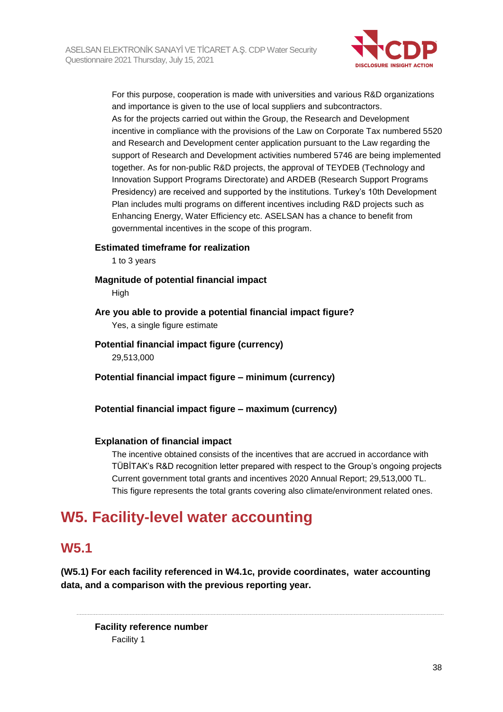

For this purpose, cooperation is made with universities and various R&D organizations and importance is given to the use of local suppliers and subcontractors. As for the projects carried out within the Group, the Research and Development incentive in compliance with the provisions of the Law on Corporate Tax numbered 5520 and Research and Development center application pursuant to the Law regarding the support of Research and Development activities numbered 5746 are being implemented together. As for non-public R&D projects, the approval of TEYDEB (Technology and Innovation Support Programs Directorate) and ARDEB (Research Support Programs Presidency) are received and supported by the institutions. Turkey's 10th Development Plan includes multi programs on different incentives including R&D projects such as Enhancing Energy, Water Efficiency etc. ASELSAN has a chance to benefit from governmental incentives in the scope of this program.

#### **Estimated timeframe for realization**

1 to 3 years

**Magnitude of potential financial impact**

**High** 

#### **Are you able to provide a potential financial impact figure?**

Yes, a single figure estimate

#### **Potential financial impact figure (currency)** 29,513,000

**Potential financial impact figure – minimum (currency)**

**Potential financial impact figure – maximum (currency)**

#### **Explanation of financial impact**

The incentive obtained consists of the incentives that are accrued in accordance with TÜBİTAK's R&D recognition letter prepared with respect to the Group's ongoing projects Current government total grants and incentives 2020 Annual Report; 29,513,000 TL. This figure represents the total grants covering also climate/environment related ones.

### **W5. Facility-level water accounting**

### **W5.1**

**(W5.1) For each facility referenced in W4.1c, provide coordinates, water accounting data, and a comparison with the previous reporting year.**

**Facility reference number** Facility 1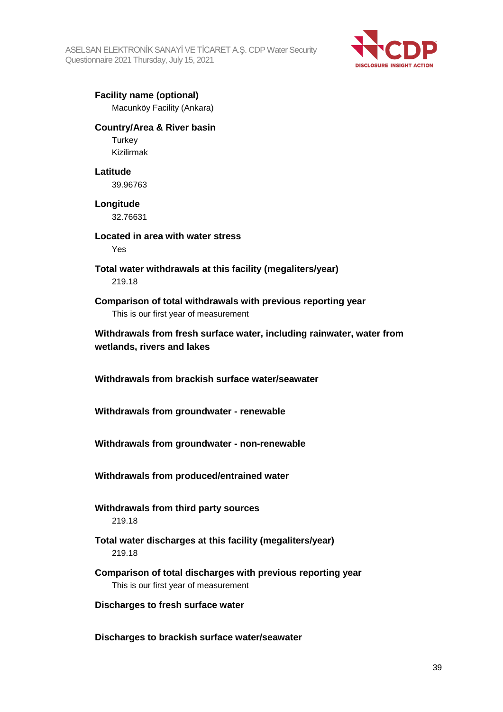ASELSAN ELEKTRONİK SANAYİ VE TİCARET A.Ş. CDP Water Security Questionnaire 2021 Thursday, July 15, 2021



**Facility name (optional)** Macunköy Facility (Ankara)

#### **Country/Area & River basin**

**Turkey** Kizilirmak

#### **Latitude**

39.96763

### **Longitude**

32.76631

**Located in area with water stress** Yes

**Total water withdrawals at this facility (megaliters/year)** 219.18

**Comparison of total withdrawals with previous reporting year** This is our first year of measurement

**Withdrawals from fresh surface water, including rainwater, water from wetlands, rivers and lakes**

**Withdrawals from brackish surface water/seawater**

**Withdrawals from groundwater - renewable**

**Withdrawals from groundwater - non-renewable**

**Withdrawals from produced/entrained water**

**Withdrawals from third party sources** 219.18

- **Total water discharges at this facility (megaliters/year)** 219.18
- **Comparison of total discharges with previous reporting year** This is our first year of measurement
- **Discharges to fresh surface water**

**Discharges to brackish surface water/seawater**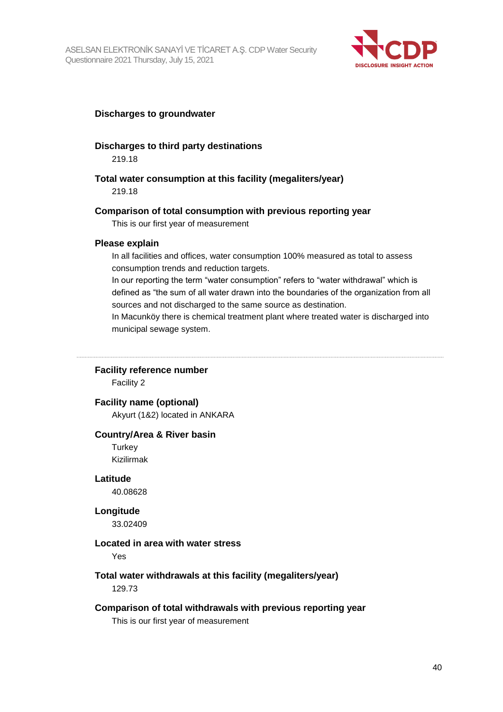

#### **Discharges to groundwater**

#### **Discharges to third party destinations**

219.18

#### **Total water consumption at this facility (megaliters/year)**

219.18

#### **Comparison of total consumption with previous reporting year**

This is our first year of measurement

#### **Please explain**

In all facilities and offices, water consumption 100% measured as total to assess consumption trends and reduction targets.

In our reporting the term "water consumption" refers to "water withdrawal" which is defined as "the sum of all water drawn into the boundaries of the organization from all sources and not discharged to the same source as destination.

In Macunköy there is chemical treatment plant where treated water is discharged into municipal sewage system.

#### **Facility reference number**

Facility 2

#### **Facility name (optional)**

Akyurt (1&2) located in ANKARA

#### **Country/Area & River basin**

**Turkey** Kizilirmak

#### **Latitude**

40.08628

#### **Longitude**

33.02409

#### **Located in area with water stress**

Yes

#### **Total water withdrawals at this facility (megaliters/year)**

129.73

#### **Comparison of total withdrawals with previous reporting year**

This is our first year of measurement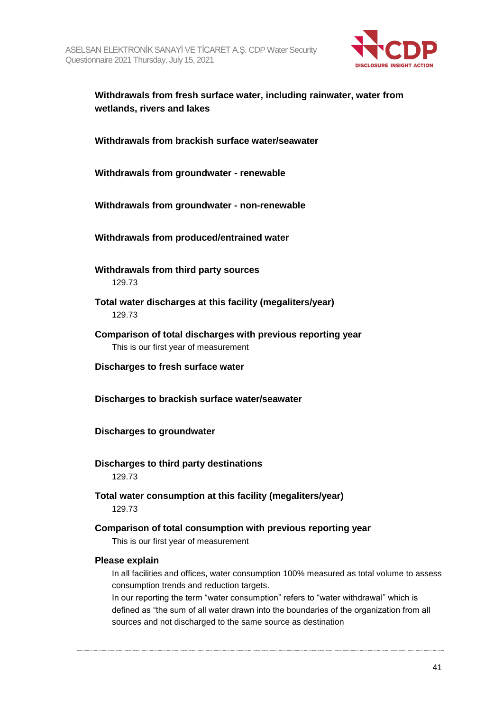

#### **Withdrawals from fresh surface water, including rainwater, water from wetlands, rivers and lakes**

**Withdrawals from brackish surface water/seawater**

**Withdrawals from groundwater - renewable**

**Withdrawals from groundwater - non-renewable**

**Withdrawals from produced/entrained water**

- **Withdrawals from third party sources** 129.73
- **Total water discharges at this facility (megaliters/year)** 129.73
- **Comparison of total discharges with previous reporting year** This is our first year of measurement
- **Discharges to fresh surface water**
- **Discharges to brackish surface water/seawater**

**Discharges to groundwater**

#### **Discharges to third party destinations** 129.73

**Total water consumption at this facility (megaliters/year)** 129.73

#### **Comparison of total consumption with previous reporting year**

This is our first year of measurement

#### **Please explain**

In all facilities and offices, water consumption 100% measured as total volume to assess consumption trends and reduction targets.

In our reporting the term "water consumption" refers to "water withdrawal" which is defined as "the sum of all water drawn into the boundaries of the organization from all sources and not discharged to the same source as destination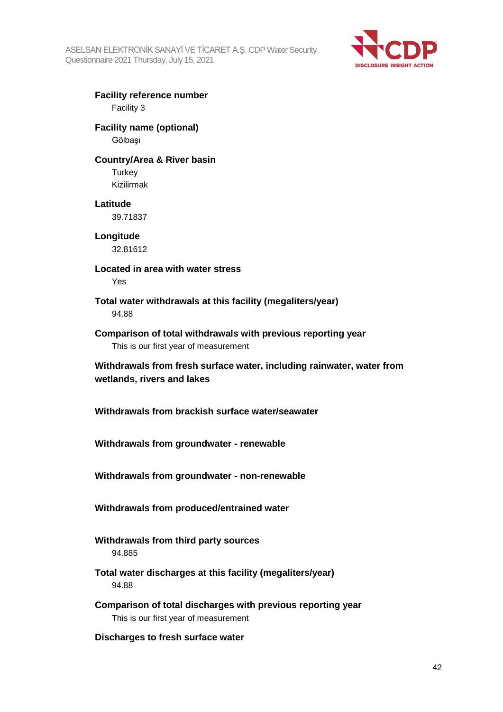

#### **Facility reference number** Facility 3

#### **Facility name (optional)** Gölbaşı

#### **Country/Area & River basin**

**Turkey** Kizilirmak

#### **Latitude**

39.71837

**Longitude** 32.81612

**Located in area with water stress** Yes

**Total water withdrawals at this facility (megaliters/year)** 94.88

**Comparison of total withdrawals with previous reporting year** This is our first year of measurement

**Withdrawals from fresh surface water, including rainwater, water from wetlands, rivers and lakes**

**Withdrawals from brackish surface water/seawater**

**Withdrawals from groundwater - renewable**

**Withdrawals from groundwater - non-renewable**

**Withdrawals from produced/entrained water**

**Withdrawals from third party sources** 94.885

**Total water discharges at this facility (megaliters/year)** 94.88

**Comparison of total discharges with previous reporting year** This is our first year of measurement

**Discharges to fresh surface water**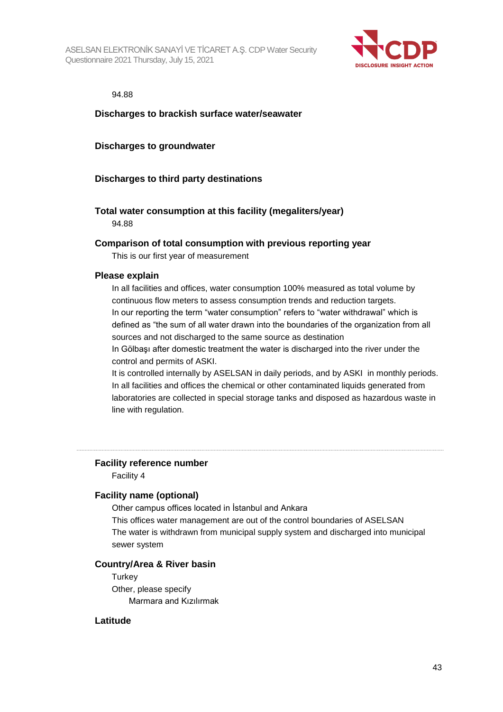

#### 94.88

#### **Discharges to brackish surface water/seawater**

#### **Discharges to groundwater**

#### **Discharges to third party destinations**

#### **Total water consumption at this facility (megaliters/year)** 94.88

#### **Comparison of total consumption with previous reporting year**

This is our first year of measurement

#### **Please explain**

In all facilities and offices, water consumption 100% measured as total volume by continuous flow meters to assess consumption trends and reduction targets. In our reporting the term "water consumption" refers to "water withdrawal" which is defined as "the sum of all water drawn into the boundaries of the organization from all sources and not discharged to the same source as destination

In Gölbaşı after domestic treatment the water is discharged into the river under the control and permits of ASKI.

It is controlled internally by ASELSAN in daily periods, and by ASKI in monthly periods. In all facilities and offices the chemical or other contaminated liquids generated from laboratories are collected in special storage tanks and disposed as hazardous waste in line with regulation.

#### **Facility reference number**

Facility 4

#### **Facility name (optional)**

Other campus offices located in İstanbul and Ankara This offices water management are out of the control boundaries of ASELSAN The water is withdrawn from municipal supply system and discharged into municipal sewer system

### **Country/Area & River basin**

**Turkey** Other, please specify Marmara and Kızılırmak

#### **Latitude**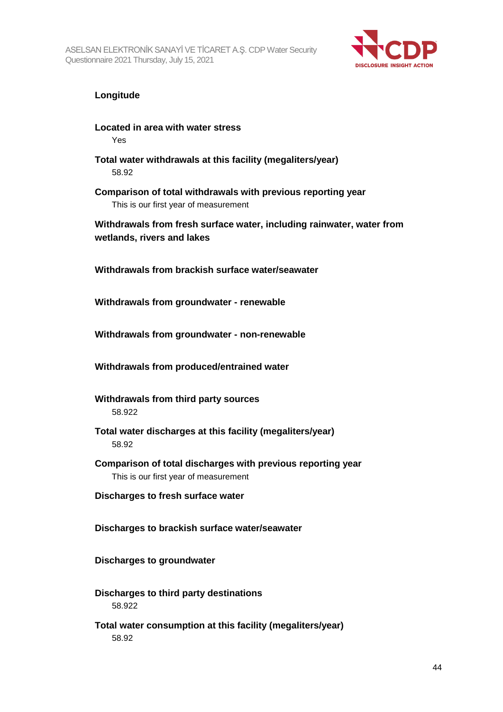

#### **Longitude**

**Located in area with water stress** Yes

- **Total water withdrawals at this facility (megaliters/year)** 58.92
- **Comparison of total withdrawals with previous reporting year** This is our first year of measurement

**Withdrawals from fresh surface water, including rainwater, water from wetlands, rivers and lakes**

**Withdrawals from brackish surface water/seawater**

**Withdrawals from groundwater - renewable**

**Withdrawals from groundwater - non-renewable**

**Withdrawals from produced/entrained water**

- **Withdrawals from third party sources** 58.922
- **Total water discharges at this facility (megaliters/year)** 58.92
- **Comparison of total discharges with previous reporting year** This is our first year of measurement
- **Discharges to fresh surface water**

**Discharges to brackish surface water/seawater**

**Discharges to groundwater**

- **Discharges to third party destinations** 58.922
- **Total water consumption at this facility (megaliters/year)** 58.92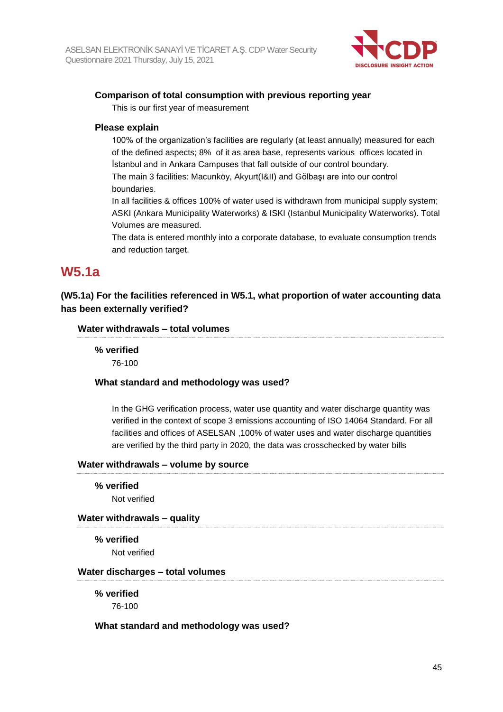

#### **Comparison of total consumption with previous reporting year**

This is our first year of measurement

#### **Please explain**

100% of the organization's facilities are regularly (at least annually) measured for each of the defined aspects; 8% of it as area base, represents various offices located in İstanbul and in Ankara Campuses that fall outside of our control boundary. The main 3 facilities: Macunköy, Akyurt(I&II) and Gölbaşı are into our control boundaries.

In all facilities & offices 100% of water used is withdrawn from municipal supply system; ASKI (Ankara Municipality Waterworks) & ISKI (Istanbul Municipality Waterworks). Total Volumes are measured.

The data is entered monthly into a corporate database, to evaluate consumption trends and reduction target.

### **W5.1a**

#### **(W5.1a) For the facilities referenced in W5.1, what proportion of water accounting data has been externally verified?**

#### **Water withdrawals – total volumes**

### **% verified**

76-100

#### **What standard and methodology was used?**

In the GHG verification process, water use quantity and water discharge quantity was verified in the context of scope 3 emissions accounting of ISO 14064 Standard. For all facilities and offices of ASELSAN ,100% of water uses and water discharge quantities are verified by the third party in 2020, the data was crosschecked by water bills

#### **Water withdrawals – volume by source**

**% verified**

Not verified

#### **Water withdrawals – quality**

**% verified** Not verified

#### **Water discharges – total volumes**

**% verified**

76-100

#### **What standard and methodology was used?**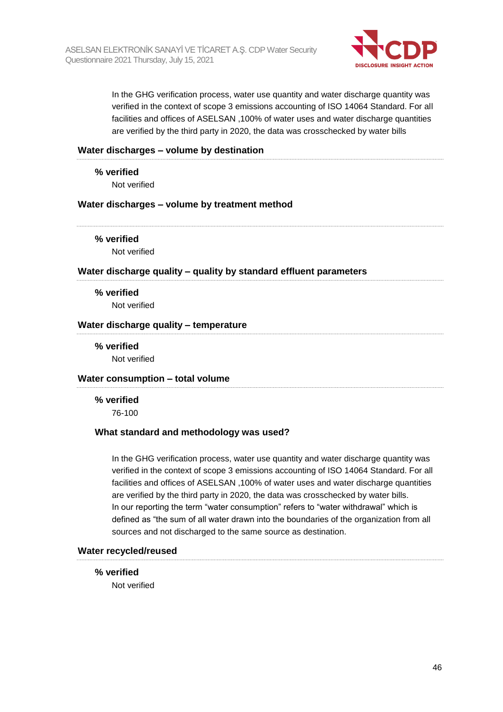

In the GHG verification process, water use quantity and water discharge quantity was verified in the context of scope 3 emissions accounting of ISO 14064 Standard. For all facilities and offices of ASELSAN ,100% of water uses and water discharge quantities are verified by the third party in 2020, the data was crosschecked by water bills

#### **Water discharges – volume by destination**

**% verified**

Not verified

#### **Water discharges – volume by treatment method**

**% verified**

Not verified

#### **Water discharge quality – quality by standard effluent parameters**

**% verified** Not verified

#### **Water discharge quality – temperature**

**% verified** Not verified

#### **Water consumption – total volume**

**% verified** 76-100

#### **What standard and methodology was used?**

In the GHG verification process, water use quantity and water discharge quantity was verified in the context of scope 3 emissions accounting of ISO 14064 Standard. For all facilities and offices of ASELSAN ,100% of water uses and water discharge quantities are verified by the third party in 2020, the data was crosschecked by water bills. In our reporting the term "water consumption" refers to "water withdrawal" which is defined as "the sum of all water drawn into the boundaries of the organization from all sources and not discharged to the same source as destination.

#### **Water recycled/reused**

**% verified**

Not verified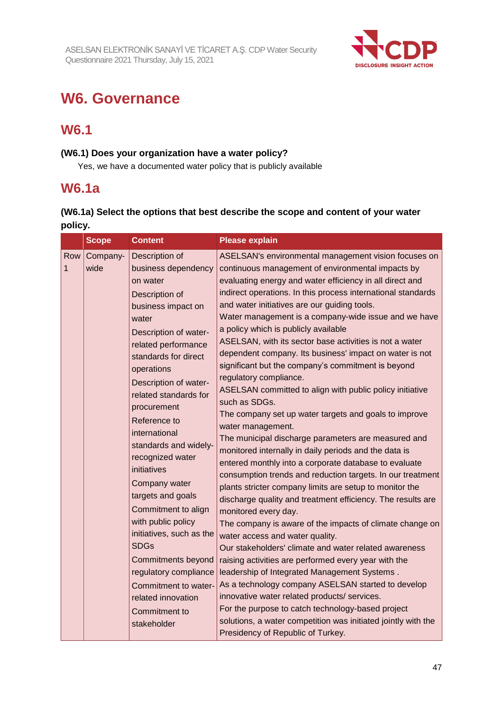

# **W6. Governance**

### **W6.1**

#### **(W6.1) Does your organization have a water policy?**

Yes, we have a documented water policy that is publicly available

### **W6.1a**

### **(W6.1a) Select the options that best describe the scope and content of your water policy.**

|          | <b>Scope</b>     | <b>Content</b>                                                                                                                                                                                                                                                                                                                                                                                                                                                                                                                                                                                                           | <b>Please explain</b>                                                                                                                                                                                                                                                                                                                                                                                                                                                                                                                                                                                                                                                                                                                                                                                                                                                                                                                                                                                                                                                                                                                                                                                                                                                                                                                                                                                                                                                                                                                                                                                                                                                            |
|----------|------------------|--------------------------------------------------------------------------------------------------------------------------------------------------------------------------------------------------------------------------------------------------------------------------------------------------------------------------------------------------------------------------------------------------------------------------------------------------------------------------------------------------------------------------------------------------------------------------------------------------------------------------|----------------------------------------------------------------------------------------------------------------------------------------------------------------------------------------------------------------------------------------------------------------------------------------------------------------------------------------------------------------------------------------------------------------------------------------------------------------------------------------------------------------------------------------------------------------------------------------------------------------------------------------------------------------------------------------------------------------------------------------------------------------------------------------------------------------------------------------------------------------------------------------------------------------------------------------------------------------------------------------------------------------------------------------------------------------------------------------------------------------------------------------------------------------------------------------------------------------------------------------------------------------------------------------------------------------------------------------------------------------------------------------------------------------------------------------------------------------------------------------------------------------------------------------------------------------------------------------------------------------------------------------------------------------------------------|
| Row<br>1 | Company-<br>wide | Description of<br>business dependency<br>on water<br>Description of<br>business impact on<br>water<br>Description of water-<br>related performance<br>standards for direct<br>operations<br>Description of water-<br>related standards for<br>procurement<br>Reference to<br>international<br>standards and widely-<br>recognized water<br>initiatives<br>Company water<br>targets and goals<br>Commitment to align<br>with public policy<br>initiatives, such as the<br><b>SDGs</b><br><b>Commitments beyond</b><br>regulatory compliance<br>Commitment to water-<br>related innovation<br>Commitment to<br>stakeholder | ASELSAN's environmental management vision focuses on<br>continuous management of environmental impacts by<br>evaluating energy and water efficiency in all direct and<br>indirect operations. In this process international standards<br>and water initiatives are our guiding tools.<br>Water management is a company-wide issue and we have<br>a policy which is publicly available<br>ASELSAN, with its sector base activities is not a water<br>dependent company. Its business' impact on water is not<br>significant but the company's commitment is beyond<br>regulatory compliance.<br>ASELSAN committed to align with public policy initiative<br>such as SDGs.<br>The company set up water targets and goals to improve<br>water management.<br>The municipal discharge parameters are measured and<br>monitored internally in daily periods and the data is<br>entered monthly into a corporate database to evaluate<br>consumption trends and reduction targets. In our treatment<br>plants stricter company limits are setup to monitor the<br>discharge quality and treatment efficiency. The results are<br>monitored every day.<br>The company is aware of the impacts of climate change on<br>water access and water quality.<br>Our stakeholders' climate and water related awareness<br>raising activities are performed every year with the<br>leadership of Integrated Management Systems.<br>As a technology company ASELSAN started to develop<br>innovative water related products/ services.<br>For the purpose to catch technology-based project<br>solutions, a water competition was initiated jointly with the<br>Presidency of Republic of Turkey. |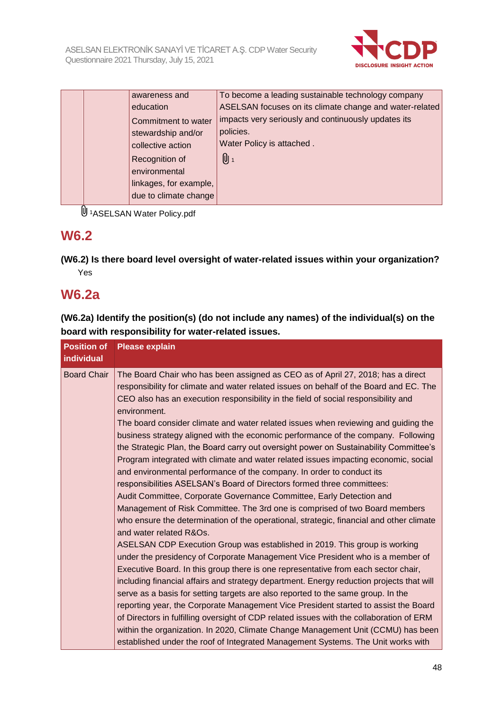

|  | awareness and          | To become a leading sustainable technology company      |
|--|------------------------|---------------------------------------------------------|
|  | education              | ASELSAN focuses on its climate change and water-related |
|  | Commitment to water    | impacts very seriously and continuously updates its     |
|  | stewardship and/or     | policies.                                               |
|  | collective action      | Water Policy is attached.                               |
|  | Recognition of         | $[0]_1$                                                 |
|  | environmental          |                                                         |
|  | linkages, for example, |                                                         |
|  | due to climate change  |                                                         |

<sup>0</sup>1ASELSAN Water Policy.pdf

### **W6.2**

**(W6.2) Is there board level oversight of water-related issues within your organization?** Yes

### **W6.2a**

**(W6.2a) Identify the position(s) (do not include any names) of the individual(s) on the board with responsibility for water-related issues.**

| <b>Position of</b><br><b>individual</b> | <b>Please explain</b>                                                                                                                                                                                                                                                                                                                                                                                                                                                                                                                                                                                                                                                                                                                                                                                                                                                                                                                                                                                                                                                                                                                                                                                                                                                                                                                                                                                                                                                                                                                                                                                   |
|-----------------------------------------|---------------------------------------------------------------------------------------------------------------------------------------------------------------------------------------------------------------------------------------------------------------------------------------------------------------------------------------------------------------------------------------------------------------------------------------------------------------------------------------------------------------------------------------------------------------------------------------------------------------------------------------------------------------------------------------------------------------------------------------------------------------------------------------------------------------------------------------------------------------------------------------------------------------------------------------------------------------------------------------------------------------------------------------------------------------------------------------------------------------------------------------------------------------------------------------------------------------------------------------------------------------------------------------------------------------------------------------------------------------------------------------------------------------------------------------------------------------------------------------------------------------------------------------------------------------------------------------------------------|
| <b>Board Chair</b>                      | The Board Chair who has been assigned as CEO as of April 27, 2018; has a direct<br>responsibility for climate and water related issues on behalf of the Board and EC. The<br>CEO also has an execution responsibility in the field of social responsibility and<br>environment.<br>The board consider climate and water related issues when reviewing and guiding the<br>business strategy aligned with the economic performance of the company. Following<br>the Strategic Plan, the Board carry out oversight power on Sustainability Committee's<br>Program integrated with climate and water related issues impacting economic, social<br>and environmental performance of the company. In order to conduct its<br>responsibilities ASELSAN's Board of Directors formed three committees:<br>Audit Committee, Corporate Governance Committee, Early Detection and<br>Management of Risk Committee. The 3rd one is comprised of two Board members<br>who ensure the determination of the operational, strategic, financial and other climate<br>and water related R&Os.<br>ASELSAN CDP Execution Group was established in 2019. This group is working<br>under the presidency of Corporate Management Vice President who is a member of<br>Executive Board. In this group there is one representative from each sector chair,<br>including financial affairs and strategy department. Energy reduction projects that will<br>serve as a basis for setting targets are also reported to the same group. In the<br>reporting year, the Corporate Management Vice President started to assist the Board |
|                                         | of Directors in fulfilling oversight of CDP related issues with the collaboration of ERM<br>within the organization. In 2020, Climate Change Management Unit (CCMU) has been<br>established under the roof of Integrated Management Systems. The Unit works with                                                                                                                                                                                                                                                                                                                                                                                                                                                                                                                                                                                                                                                                                                                                                                                                                                                                                                                                                                                                                                                                                                                                                                                                                                                                                                                                        |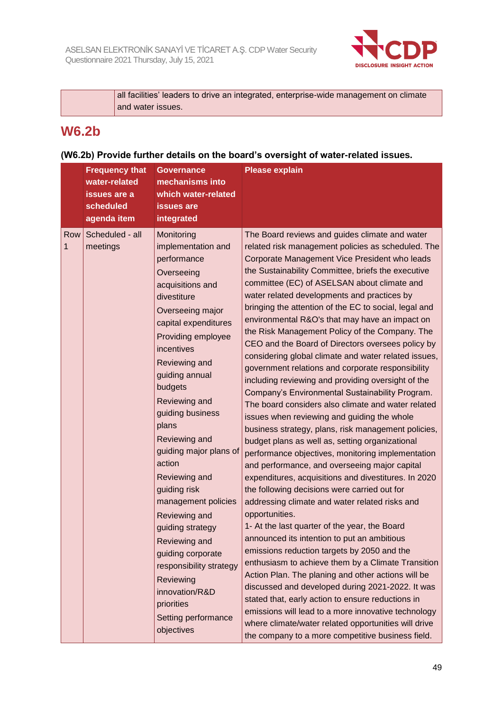

| all facilities' leaders to drive an integrated, enterprise-wide management on climate |
|---------------------------------------------------------------------------------------|
| and water issues.                                                                     |

### **W6.2b**

### **(W6.2b) Provide further details on the board's oversight of water-related issues.**

|          | <b>Frequency that</b><br>water-related<br>issues are a<br>scheduled<br>agenda item | <b>Governance</b><br>mechanisms into<br>which water-related<br><b>issues</b> are<br>integrated                                                                                                                                                                                                                                                                                                                                                                                                                                                                                    | <b>Please explain</b>                                                                                                                                                                                                                                                                                                                                                                                                                                                                                                                                                                                                                                                                                                                                                                                                                                                                                                                                                                                                                                                                                                                                                                                                                                                                                                                                                                                                                                                                                                                                                                                                                                                                                                                                                                      |
|----------|------------------------------------------------------------------------------------|-----------------------------------------------------------------------------------------------------------------------------------------------------------------------------------------------------------------------------------------------------------------------------------------------------------------------------------------------------------------------------------------------------------------------------------------------------------------------------------------------------------------------------------------------------------------------------------|--------------------------------------------------------------------------------------------------------------------------------------------------------------------------------------------------------------------------------------------------------------------------------------------------------------------------------------------------------------------------------------------------------------------------------------------------------------------------------------------------------------------------------------------------------------------------------------------------------------------------------------------------------------------------------------------------------------------------------------------------------------------------------------------------------------------------------------------------------------------------------------------------------------------------------------------------------------------------------------------------------------------------------------------------------------------------------------------------------------------------------------------------------------------------------------------------------------------------------------------------------------------------------------------------------------------------------------------------------------------------------------------------------------------------------------------------------------------------------------------------------------------------------------------------------------------------------------------------------------------------------------------------------------------------------------------------------------------------------------------------------------------------------------------|
| Row<br>1 | Scheduled - all<br>meetings                                                        | Monitoring<br>implementation and<br>performance<br>Overseeing<br>acquisitions and<br>divestiture<br>Overseeing major<br>capital expenditures<br>Providing employee<br>incentives<br>Reviewing and<br>guiding annual<br>budgets<br>Reviewing and<br>guiding business<br>plans<br>Reviewing and<br>quiding major plans of<br>action<br>Reviewing and<br>guiding risk<br>management policies<br>Reviewing and<br>guiding strategy<br>Reviewing and<br>guiding corporate<br>responsibility strategy<br>Reviewing<br>innovation/R&D<br>priorities<br>Setting performance<br>objectives | The Board reviews and guides climate and water<br>related risk management policies as scheduled. The<br>Corporate Management Vice President who leads<br>the Sustainability Committee, briefs the executive<br>committee (EC) of ASELSAN about climate and<br>water related developments and practices by<br>bringing the attention of the EC to social, legal and<br>environmental R&O's that may have an impact on<br>the Risk Management Policy of the Company. The<br>CEO and the Board of Directors oversees policy by<br>considering global climate and water related issues,<br>government relations and corporate responsibility<br>including reviewing and providing oversight of the<br>Company's Environmental Sustainability Program.<br>The board considers also climate and water related<br>issues when reviewing and guiding the whole<br>business strategy, plans, risk management policies,<br>budget plans as well as, setting organizational<br>performance objectives, monitoring implementation<br>and performance, and overseeing major capital<br>expenditures, acquisitions and divestitures. In 2020<br>the following decisions were carried out for<br>addressing climate and water related risks and<br>opportunities.<br>1- At the last quarter of the year, the Board<br>announced its intention to put an ambitious<br>emissions reduction targets by 2050 and the<br>enthusiasm to achieve them by a Climate Transition<br>Action Plan. The planing and other actions will be<br>discussed and developed during 2021-2022. It was<br>stated that, early action to ensure reductions in<br>emissions will lead to a more innovative technology<br>where climate/water related opportunities will drive<br>the company to a more competitive business field. |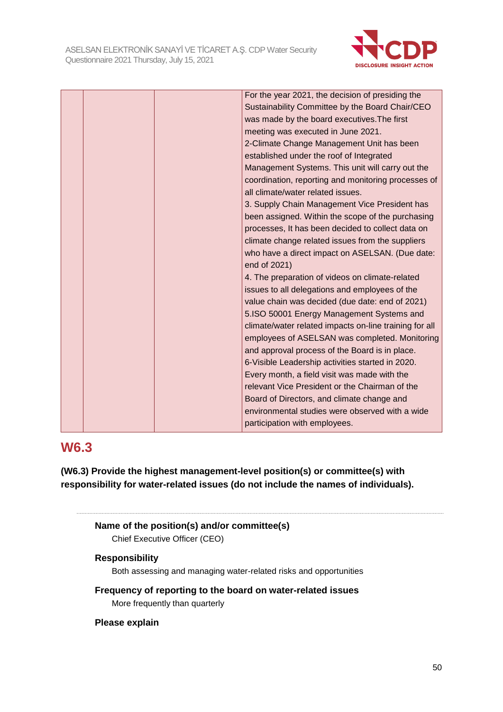

|  | For the year 2021, the decision of presiding the       |
|--|--------------------------------------------------------|
|  | Sustainability Committee by the Board Chair/CEO        |
|  | was made by the board executives. The first            |
|  | meeting was executed in June 2021.                     |
|  | 2-Climate Change Management Unit has been              |
|  | established under the roof of Integrated               |
|  | Management Systems. This unit will carry out the       |
|  | coordination, reporting and monitoring processes of    |
|  | all climate/water related issues.                      |
|  | 3. Supply Chain Management Vice President has          |
|  | been assigned. Within the scope of the purchasing      |
|  | processes, It has been decided to collect data on      |
|  | climate change related issues from the suppliers       |
|  | who have a direct impact on ASELSAN. (Due date:        |
|  | end of 2021)                                           |
|  | 4. The preparation of videos on climate-related        |
|  | issues to all delegations and employees of the         |
|  | value chain was decided (due date: end of 2021)        |
|  | 5.ISO 50001 Energy Management Systems and              |
|  | climate/water related impacts on-line training for all |
|  | employees of ASELSAN was completed. Monitoring         |
|  | and approval process of the Board is in place.         |
|  | 6-Visible Leadership activities started in 2020.       |
|  | Every month, a field visit was made with the           |
|  | relevant Vice President or the Chairman of the         |
|  | Board of Directors, and climate change and             |
|  | environmental studies were observed with a wide        |
|  | participation with employees.                          |

### **W6.3**

**(W6.3) Provide the highest management-level position(s) or committee(s) with responsibility for water-related issues (do not include the names of individuals).**

```
Name of the position(s) and/or committee(s)
Chief Executive Officer (CEO)
```
#### **Responsibility**

Both assessing and managing water-related risks and opportunities

**Frequency of reporting to the board on water-related issues** More frequently than quarterly

#### **Please explain**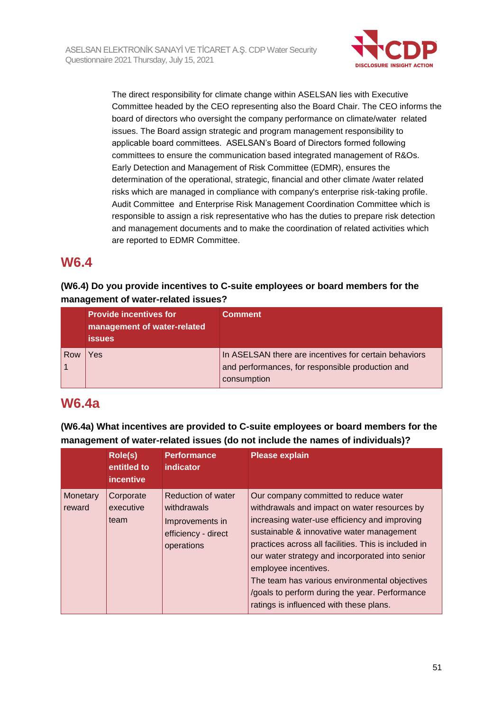

The direct responsibility for climate change within ASELSAN lies with Executive Committee headed by the CEO representing also the Board Chair. The CEO informs the board of directors who oversight the company performance on climate/water related issues. The Board assign strategic and program management responsibility to applicable board committees. ASELSAN's Board of Directors formed following committees to ensure the communication based integrated management of R&Os. Early Detection and Management of Risk Committee (EDMR), ensures the determination of the operational, strategic, financial and other climate /water related risks which are managed in compliance with company's enterprise risk-taking profile. Audit Committee and Enterprise Risk Management Coordination Committee which is responsible to assign a risk representative who has the duties to prepare risk detection and management documents and to make the coordination of related activities which are reported to EDMR Committee.

### **W6.4**

#### **(W6.4) Do you provide incentives to C-suite employees or board members for the management of water-related issues?**

|     | <b>Provide incentives for</b><br>management of water-related<br><b>issues</b> | <b>Comment</b>                                                                                                           |
|-----|-------------------------------------------------------------------------------|--------------------------------------------------------------------------------------------------------------------------|
| Row | Yes                                                                           | In ASELSAN there are incentives for certain behaviors<br>and performances, for responsible production and<br>consumption |

### **W6.4a**

**(W6.4a) What incentives are provided to C-suite employees or board members for the management of water-related issues (do not include the names of individuals)?**

|                    | Role(s)<br>entitled to<br><i>incentive</i> | <b>Performance</b><br>indicator                                                           | <b>Please explain</b>                                                                                                                                                                                                                                                                                                                                                                                                                                                |
|--------------------|--------------------------------------------|-------------------------------------------------------------------------------------------|----------------------------------------------------------------------------------------------------------------------------------------------------------------------------------------------------------------------------------------------------------------------------------------------------------------------------------------------------------------------------------------------------------------------------------------------------------------------|
| Monetary<br>reward | Corporate<br>executive<br>team             | Reduction of water<br>withdrawals<br>Improvements in<br>efficiency - direct<br>operations | Our company committed to reduce water<br>withdrawals and impact on water resources by<br>increasing water-use efficiency and improving<br>sustainable & innovative water management<br>practices across all facilities. This is included in<br>our water strategy and incorporated into senior<br>employee incentives.<br>The team has various environmental objectives<br>/goals to perform during the year. Performance<br>ratings is influenced with these plans. |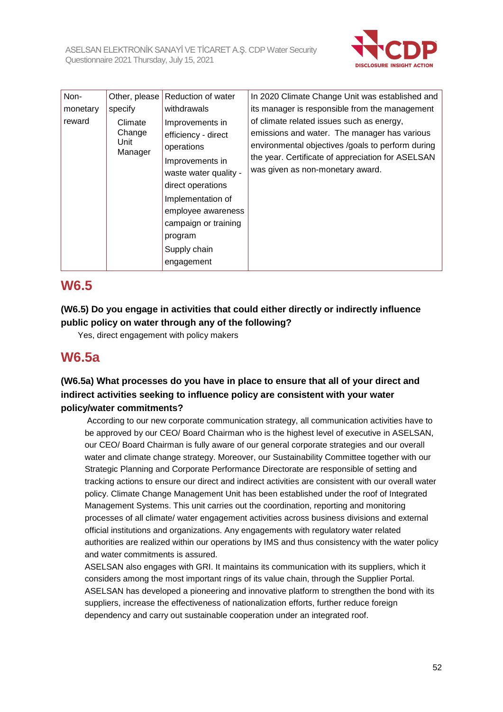

| Non-     | Other, please                        | <b>Reduction of water</b>                                                                                                                                                                                                         | In 2020 Climate Change Unit was established and                                                                                                                                                                                         |
|----------|--------------------------------------|-----------------------------------------------------------------------------------------------------------------------------------------------------------------------------------------------------------------------------------|-----------------------------------------------------------------------------------------------------------------------------------------------------------------------------------------------------------------------------------------|
| monetary | specify                              | withdrawals                                                                                                                                                                                                                       | its manager is responsible from the management                                                                                                                                                                                          |
| reward   | Climate<br>Change<br>Unit<br>Manager | Improvements in<br>efficiency - direct<br>operations<br>Improvements in<br>waste water quality -<br>direct operations<br>Implementation of<br>employee awareness<br>campaign or training<br>program<br>Supply chain<br>engagement | of climate related issues such as energy,<br>emissions and water. The manager has various<br>environmental objectives /goals to perform during<br>the year. Certificate of appreciation for ASELSAN<br>was given as non-monetary award. |

### **W6.5**

**(W6.5) Do you engage in activities that could either directly or indirectly influence public policy on water through any of the following?**

Yes, direct engagement with policy makers

### **W6.5a**

#### **(W6.5a) What processes do you have in place to ensure that all of your direct and indirect activities seeking to influence policy are consistent with your water policy/water commitments?**

According to our new corporate communication strategy, all communication activities have to be approved by our CEO/ Board Chairman who is the highest level of executive in ASELSAN, our CEO/ Board Chairman is fully aware of our general corporate strategies and our overall water and climate change strategy. Moreover, our Sustainability Committee together with our Strategic Planning and Corporate Performance Directorate are responsible of setting and tracking actions to ensure our direct and indirect activities are consistent with our overall water policy. Climate Change Management Unit has been established under the roof of Integrated Management Systems. This unit carries out the coordination, reporting and monitoring processes of all climate/ water engagement activities across business divisions and external official institutions and organizations. Any engagements with regulatory water related authorities are realized within our operations by IMS and thus consistency with the water policy and water commitments is assured.

ASELSAN also engages with GRI. It maintains its communication with its suppliers, which it considers among the most important rings of its value chain, through the Supplier Portal. ASELSAN has developed a pioneering and innovative platform to strengthen the bond with its suppliers, increase the effectiveness of nationalization efforts, further reduce foreign dependency and carry out sustainable cooperation under an integrated roof.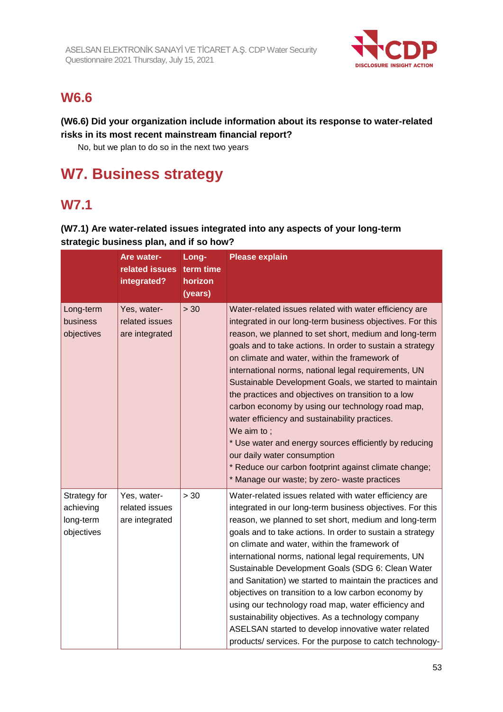

### **W6.6**

#### **(W6.6) Did your organization include information about its response to water-related risks in its most recent mainstream financial report?**

No, but we plan to do so in the next two years

# **W7. Business strategy**

### **W7.1**

#### **(W7.1) Are water-related issues integrated into any aspects of your long-term strategic business plan, and if so how?**

|                                                      | Are water-<br>related issues<br>integrated?     | Long-<br>term time<br>horizon<br>(years) | <b>Please explain</b>                                                                                                                                                                                                                                                                                                                                                                                                                                                                                                                                                                                                                                                                                                                                                                     |
|------------------------------------------------------|-------------------------------------------------|------------------------------------------|-------------------------------------------------------------------------------------------------------------------------------------------------------------------------------------------------------------------------------------------------------------------------------------------------------------------------------------------------------------------------------------------------------------------------------------------------------------------------------------------------------------------------------------------------------------------------------------------------------------------------------------------------------------------------------------------------------------------------------------------------------------------------------------------|
| Long-term<br>business<br>objectives                  | Yes, water-<br>related issues<br>are integrated | > 30                                     | Water-related issues related with water efficiency are<br>integrated in our long-term business objectives. For this<br>reason, we planned to set short, medium and long-term<br>goals and to take actions. In order to sustain a strategy<br>on climate and water, within the framework of<br>international norms, national legal requirements, UN<br>Sustainable Development Goals, we started to maintain<br>the practices and objectives on transition to a low<br>carbon economy by using our technology road map,<br>water efficiency and sustainability practices.<br>We aim to ;<br>* Use water and energy sources efficiently by reducing<br>our daily water consumption<br>* Reduce our carbon footprint against climate change;<br>* Manage our waste; by zero- waste practices |
| Strategy for<br>achieving<br>long-term<br>objectives | Yes, water-<br>related issues<br>are integrated | > 30                                     | Water-related issues related with water efficiency are<br>integrated in our long-term business objectives. For this<br>reason, we planned to set short, medium and long-term<br>goals and to take actions. In order to sustain a strategy<br>on climate and water, within the framework of<br>international norms, national legal requirements, UN<br>Sustainable Development Goals (SDG 6: Clean Water<br>and Sanitation) we started to maintain the practices and<br>objectives on transition to a low carbon economy by<br>using our technology road map, water efficiency and<br>sustainability objectives. As a technology company<br>ASELSAN started to develop innovative water related<br>products/ services. For the purpose to catch technology-                                |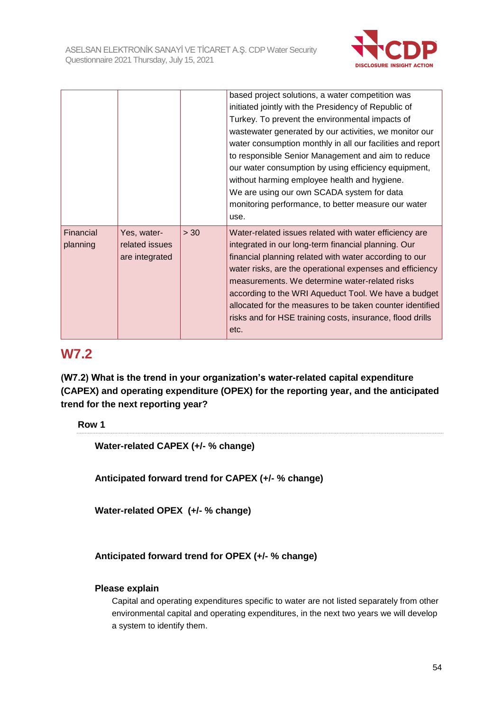

|                       |                                                 |      | based project solutions, a water competition was<br>initiated jointly with the Presidency of Republic of<br>Turkey. To prevent the environmental impacts of<br>wastewater generated by our activities, we monitor our<br>water consumption monthly in all our facilities and report<br>to responsible Senior Management and aim to reduce<br>our water consumption by using efficiency equipment,<br>without harming employee health and hygiene.<br>We are using our own SCADA system for data<br>monitoring performance, to better measure our water<br>use. |
|-----------------------|-------------------------------------------------|------|----------------------------------------------------------------------------------------------------------------------------------------------------------------------------------------------------------------------------------------------------------------------------------------------------------------------------------------------------------------------------------------------------------------------------------------------------------------------------------------------------------------------------------------------------------------|
| Financial<br>planning | Yes, water-<br>related issues<br>are integrated | > 30 | Water-related issues related with water efficiency are<br>integrated in our long-term financial planning. Our<br>financial planning related with water according to our<br>water risks, are the operational expenses and efficiency<br>measurements. We determine water-related risks<br>according to the WRI Aqueduct Tool. We have a budget<br>allocated for the measures to be taken counter identified<br>risks and for HSE training costs, insurance, flood drills<br>etc.                                                                                |

### **W7.2**

**(W7.2) What is the trend in your organization's water-related capital expenditure (CAPEX) and operating expenditure (OPEX) for the reporting year, and the anticipated trend for the next reporting year?**

**Row 1**

**Water-related CAPEX (+/- % change)**

**Anticipated forward trend for CAPEX (+/- % change)**

**Water-related OPEX (+/- % change)**

**Anticipated forward trend for OPEX (+/- % change)**

#### **Please explain**

Capital and operating expenditures specific to water are not listed separately from other environmental capital and operating expenditures, in the next two years we will develop a system to identify them.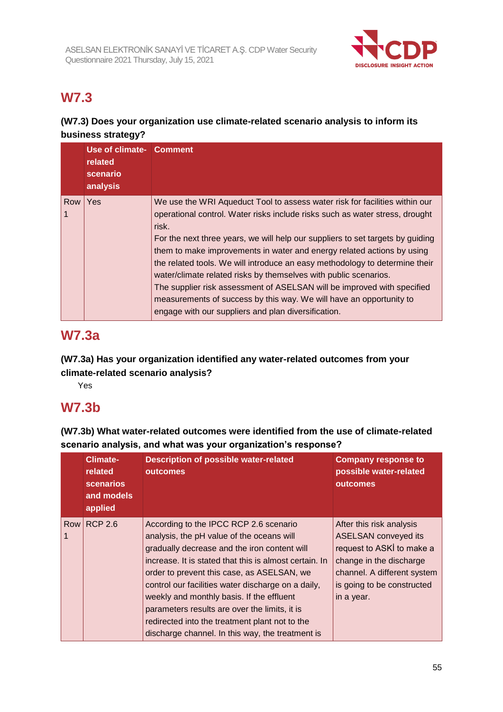

# **W7.3**

#### **(W7.3) Does your organization use climate-related scenario analysis to inform its business strategy?**

|     | Use of climate- Comment<br>related<br>scenario<br>analysis |                                                                                                                                                                                                                                                                                                                                                                                                                                                                                                                                                                                                                                                                                              |
|-----|------------------------------------------------------------|----------------------------------------------------------------------------------------------------------------------------------------------------------------------------------------------------------------------------------------------------------------------------------------------------------------------------------------------------------------------------------------------------------------------------------------------------------------------------------------------------------------------------------------------------------------------------------------------------------------------------------------------------------------------------------------------|
| Row | l Yes                                                      | We use the WRI Aqueduct Tool to assess water risk for facilities within our<br>operational control. Water risks include risks such as water stress, drought<br>risk.<br>For the next three years, we will help our suppliers to set targets by guiding<br>them to make improvements in water and energy related actions by using<br>the related tools. We will introduce an easy methodology to determine their<br>water/climate related risks by themselves with public scenarios.<br>The supplier risk assessment of ASELSAN will be improved with specified<br>measurements of success by this way. We will have an opportunity to<br>engage with our suppliers and plan diversification. |

### **W7.3a**

**(W7.3a) Has your organization identified any water-related outcomes from your climate-related scenario analysis?**

Yes

### **W7.3b**

**(W7.3b) What water-related outcomes were identified from the use of climate-related scenario analysis, and what was your organization's response?**

|     | <b>Climate-</b><br>related<br><b>scenarios</b><br>and models<br>applied | <b>Description of possible water-related</b><br><b>outcomes</b>                                                                                                                                                                                                                                                                                                                                                                                                                                       | <b>Company response to</b><br>possible water-related<br>outcomes                                                                                                                           |
|-----|-------------------------------------------------------------------------|-------------------------------------------------------------------------------------------------------------------------------------------------------------------------------------------------------------------------------------------------------------------------------------------------------------------------------------------------------------------------------------------------------------------------------------------------------------------------------------------------------|--------------------------------------------------------------------------------------------------------------------------------------------------------------------------------------------|
| Row | <b>RCP 2.6</b>                                                          | According to the IPCC RCP 2.6 scenario<br>analysis, the pH value of the oceans will<br>gradually decrease and the iron content will<br>increase. It is stated that this is almost certain. In<br>order to prevent this case, as ASELSAN, we<br>control our facilities water discharge on a daily,<br>weekly and monthly basis. If the effluent<br>parameters results are over the limits, it is<br>redirected into the treatment plant not to the<br>discharge channel. In this way, the treatment is | After this risk analysis<br><b>ASELSAN</b> conveyed its<br>request to ASKI to make a<br>change in the discharge<br>channel. A different system<br>is going to be constructed<br>in a year. |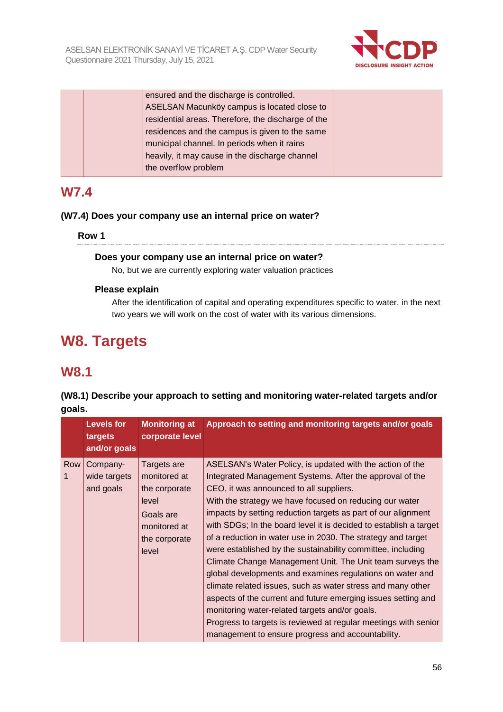

|  | ensured and the discharge is controlled.           |  |
|--|----------------------------------------------------|--|
|  | ASELSAN Macunköy campus is located close to        |  |
|  | residential areas. Therefore, the discharge of the |  |
|  | residences and the campus is given to the same     |  |
|  | municipal channel. In periods when it rains        |  |
|  | heavily, it may cause in the discharge channel     |  |
|  | the overflow problem                               |  |
|  |                                                    |  |

### **W7.4**

#### **(W7.4) Does your company use an internal price on water?**

#### **Row 1**

#### **Does your company use an internal price on water?**

No, but we are currently exploring water valuation practices

#### **Please explain**

After the identification of capital and operating expenditures specific to water, in the next two years we will work on the cost of water with its various dimensions.

# **W8. Targets**

### **W8.1**

#### **(W8.1) Describe your approach to setting and monitoring water-related targets and/or goals.**

|     | <b>Levels for</b><br>targets<br>and/or goals | <b>Monitoring at</b><br>corporate level                                                                      | Approach to setting and monitoring targets and/or goals                                                                                                                                                                                                                                                                                                                                                                                                                                                                                                                                                                                                                                                                                                                                                                                                                                                                              |
|-----|----------------------------------------------|--------------------------------------------------------------------------------------------------------------|--------------------------------------------------------------------------------------------------------------------------------------------------------------------------------------------------------------------------------------------------------------------------------------------------------------------------------------------------------------------------------------------------------------------------------------------------------------------------------------------------------------------------------------------------------------------------------------------------------------------------------------------------------------------------------------------------------------------------------------------------------------------------------------------------------------------------------------------------------------------------------------------------------------------------------------|
| Row | Company-<br>wide targets<br>and goals        | Targets are<br>monitored at<br>the corporate<br>level<br>Goals are<br>monitored at<br>the corporate<br>level | ASELSAN's Water Policy, is updated with the action of the<br>Integrated Management Systems. After the approval of the<br>CEO, it was announced to all suppliers.<br>With the strategy we have focused on reducing our water<br>impacts by setting reduction targets as part of our alignment<br>with SDGs; In the board level it is decided to establish a target<br>of a reduction in water use in 2030. The strategy and target<br>were established by the sustainability committee, including<br>Climate Change Management Unit. The Unit team surveys the<br>global developments and examines regulations on water and<br>climate related issues, such as water stress and many other<br>aspects of the current and future emerging issues setting and<br>monitoring water-related targets and/or goals.<br>Progress to targets is reviewed at regular meetings with senior<br>management to ensure progress and accountability. |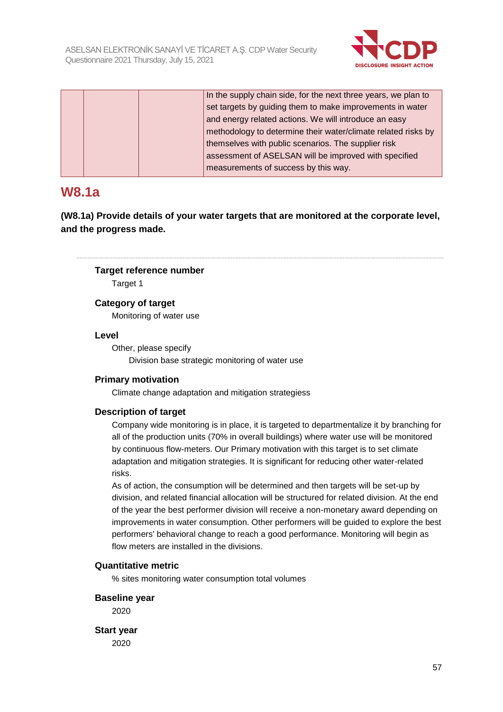

|  | In the supply chain side, for the next three years, we plan to |
|--|----------------------------------------------------------------|
|  | set targets by guiding them to make improvements in water      |
|  | and energy related actions. We will introduce an easy          |
|  | methodology to determine their water/climate related risks by  |
|  | themselves with public scenarios. The supplier risk            |
|  | assessment of ASELSAN will be improved with specified          |
|  | measurements of success by this way.                           |

### **W8.1a**

**(W8.1a) Provide details of your water targets that are monitored at the corporate level, and the progress made.**

#### **Target reference number**

Target 1

#### **Category of target**

Monitoring of water use

#### **Level**

Other, please specify Division base strategic monitoring of water use

#### **Primary motivation**

Climate change adaptation and mitigation strategiess

#### **Description of target**

Company wide monitoring is in place, it is targeted to departmentalize it by branching for all of the production units (70% in overall buildings) where water use will be monitored by continuous flow-meters. Our Primary motivation with this target is to set climate adaptation and mitigation strategies. It is significant for reducing other water-related risks.

As of action, the consumption will be determined and then targets will be set-up by division, and related financial allocation will be structured for related division. At the end of the year the best performer division will receive a non-monetary award depending on improvements in water consumption. Other performers will be guided to explore the best performers' behavioral change to reach a good performance. Monitoring will begin as flow meters are installed in the divisions.

#### **Quantitative metric**

% sites monitoring water consumption total volumes

#### **Baseline year**

2020

**Start year** 2020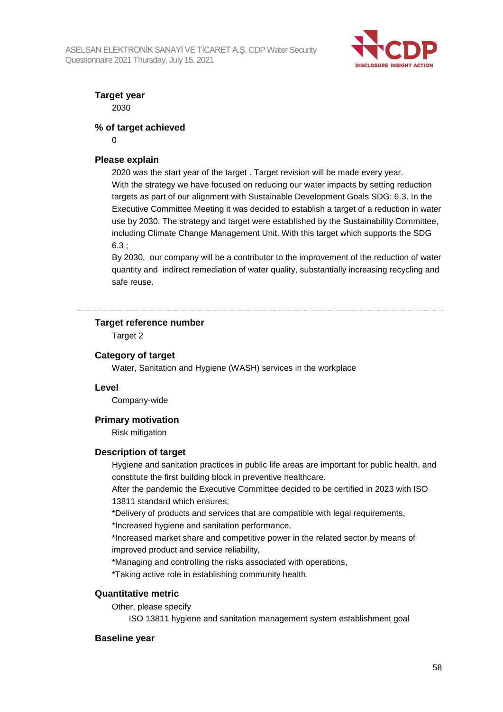

**Target year** 2030

**% of target achieved**

 $\Omega$ 

#### **Please explain**

2020 was the start year of the target . Target revision will be made every year. With the strategy we have focused on reducing our water impacts by setting reduction targets as part of our alignment with Sustainable Development Goals SDG: 6.3. In the Executive Committee Meeting it was decided to establish a target of a reduction in water use by 2030. The strategy and target were established by the Sustainability Committee, including Climate Change Management Unit. With this target which supports the SDG 6.3 ;

By 2030, our company will be a contributor to the improvement of the reduction of water quantity and indirect remediation of water quality, substantially increasing recycling and safe reuse.

#### **Target reference number**

Target 2

#### **Category of target**

Water, Sanitation and Hygiene (WASH) services in the workplace

#### **Level**

Company-wide

#### **Primary motivation**

Risk mitigation

#### **Description of target**

Hygiene and sanitation practices in public life areas are important for public health, and constitute the first building block in preventive healthcare.

After the pandemic the Executive Committee decided to be certified in 2023 with ISO 13811 standard which ensures;

\*Delivery of products and services that are compatible with legal requirements,

\*Increased hygiene and sanitation performance,

\*Increased market share and competitive power in the related sector by means of improved product and service reliability,

\*Managing and controlling the risks associated with operations,

\*Taking active role in establishing community health.

#### **Quantitative metric**

Other, please specify

ISO 13811 hygiene and sanitation management system establishment goal

#### **Baseline year**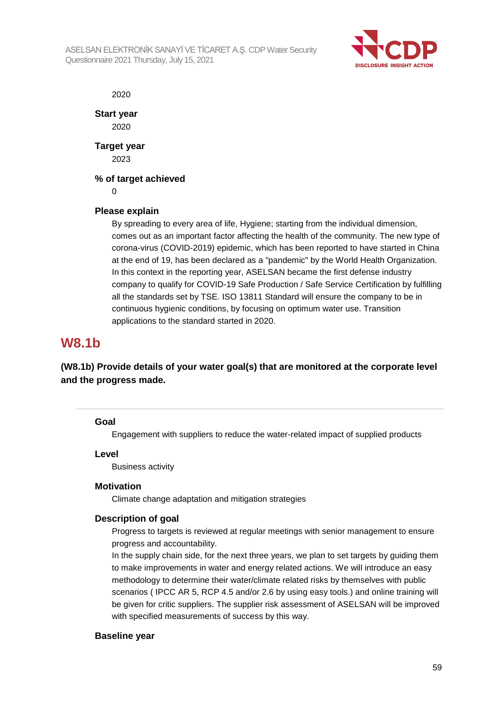

2020

**Start year** 2020

**Target year** 2023

#### **% of target achieved**

 $\Omega$ 

#### **Please explain**

By spreading to every area of life, Hygiene; starting from the individual dimension, comes out as an important factor affecting the health of the community. The new type of corona-virus (COVID-2019) epidemic, which has been reported to have started in China at the end of 19, has been declared as a "pandemic" by the World Health Organization. In this context in the reporting year, ASELSAN became the first defense industry company to qualify for COVID-19 Safe Production / Safe Service Certification by fulfilling all the standards set by TSE. ISO 13811 Standard will ensure the company to be in continuous hygienic conditions, by focusing on optimum water use. Transition applications to the standard started in 2020.

### **W8.1b**

#### **(W8.1b) Provide details of your water goal(s) that are monitored at the corporate level and the progress made.**

#### **Goal**

Engagement with suppliers to reduce the water-related impact of supplied products

#### **Level**

Business activity

#### **Motivation**

Climate change adaptation and mitigation strategies

#### **Description of goal**

Progress to targets is reviewed at regular meetings with senior management to ensure progress and accountability.

In the supply chain side, for the next three years, we plan to set targets by guiding them to make improvements in water and energy related actions. We will introduce an easy methodology to determine their water/climate related risks by themselves with public scenarios ( IPCC AR 5, RCP 4.5 and/or 2.6 by using easy tools.) and online training will be given for critic suppliers. The supplier risk assessment of ASELSAN will be improved with specified measurements of success by this way.

#### **Baseline year**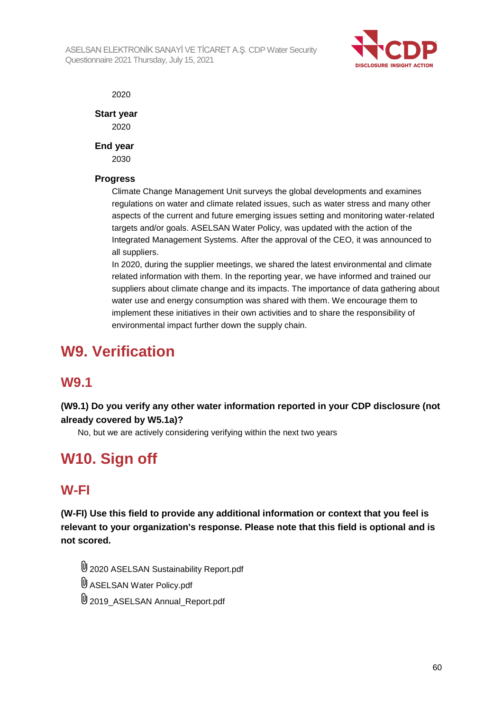

2020

**Start year**

2020

**End year**

2030

#### **Progress**

Climate Change Management Unit surveys the global developments and examines regulations on water and climate related issues, such as water stress and many other aspects of the current and future emerging issues setting and monitoring water-related targets and/or goals. ASELSAN Water Policy, was updated with the action of the Integrated Management Systems. After the approval of the CEO, it was announced to all suppliers.

In 2020, during the supplier meetings, we shared the latest environmental and climate related information with them. In the reporting year, we have informed and trained our suppliers about climate change and its impacts. The importance of data gathering about water use and energy consumption was shared with them. We encourage them to implement these initiatives in their own activities and to share the responsibility of environmental impact further down the supply chain.

# **W9. Verification**

### **W9.1**

**(W9.1) Do you verify any other water information reported in your CDP disclosure (not already covered by W5.1a)?**

No, but we are actively considering verifying within the next two years

# **W10. Sign off**

### **W-FI**

**(W-FI) Use this field to provide any additional information or context that you feel is relevant to your organization's response. Please note that this field is optional and is not scored.**

2020 ASELSAN Sustainability Report.pdf ASELSAN Water Policy.pdf 2019\_ASELSAN Annual\_Report.pdf